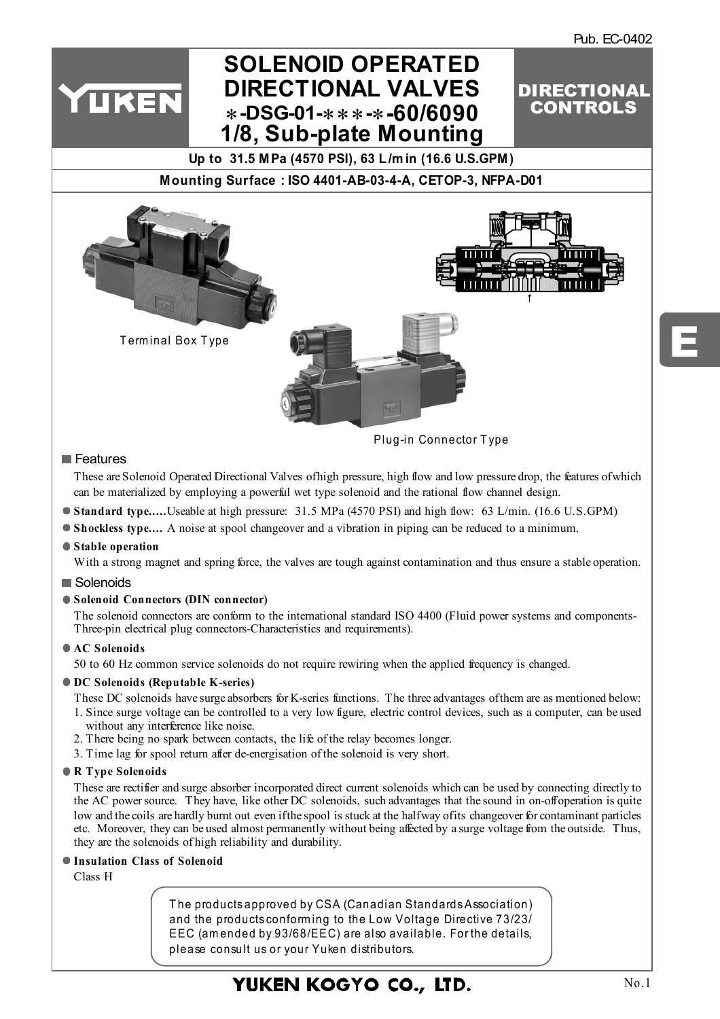DIRECTIONAL CONTROLS

# **SOLENOID OPERATED DIRECTIONAL VALVES** ∗**-DSG-01-**∗∗∗**-**∗**-60/6090 [1/8, Sub-plate Mounting](http://www.rmc.rukmit.com)**

**Up to 31.5 MPa (4570 PSI), 63 L /m in (16.6 U.S.GPM)** 

**Mounting Surface : ISO 4401-AB-03-4-A, CETOP-3, NFPA-D01**



Plug-in Connector T ype

### **Features**

YUKEN

These are Solenoid Operated Directional Valves of high pressure, high flow and low pressure drop, the features of which can be materialized by employing a powerful wet type solenoid and the rational flow channel design.

- **Standard type.....** Useable at high pressure: 31.5 MPa (4570 PSI) and high flow: 63 L/min. (16.6 U.S.GPM)
- **Shockless type....** A noise at spool changeover and a vibration in piping can be reduced to a minimum.

### **Stable operation**

With a strong magnet and spring force, the valves are tough against contamination and thus ensure a stable operation.

### Solenoids

### **Solenoid Connectors (DIN connector)**

The solenoid connectors are conform to the international standard ISO 4400 (Fluid power systems and components-Three-pin electrical plug connectors-Characteristics and requirements).

### **AC Solenoids**

50 to 60 Hz common service solenoids do not require rewiring when the applied frequency is changed.

### **DC Solenoids (Reputable K-series)**

These DC solenoids have surge absorbers for K-series functions. The three advantages of them are as mentioned below:

- 1. Since surge voltage can be controlled to a very low figure, electric control devices, such as a computer, can be used without any interference like noise.
- 2. There being no spark between contacts, the life of the relay becomes longer.
- 3. Time lag for spool return after de-energisation of the solenoid is very short.

### **R Type Solenoids**

These are rectifier and surge absorber incorporated direct current solenoids which can be used by connecting directly to the AC power source. They have, like other DC solenoids, such advantages that the sound in on-off operation is quite low and the coils are hardly burnt out even if the spool is stuck at the half way of its changeover for contaminant particles etc. Moreover, they can be used almost permanently without being affected by a surge voltage from the outside. Thus, they are the solenoids of high reliability and durability.

### **Insulation Class of Solenoid**

Class H

T he products approved by CSA (Canadian Standards Association) and the products conform ing to the Low Voltage Directive 73/23/ EEC (am ended by 93/68/EEC) are also available. For the details, please consult us or your Yuken distributors.

# YUKEN KOGYO CO., LTD.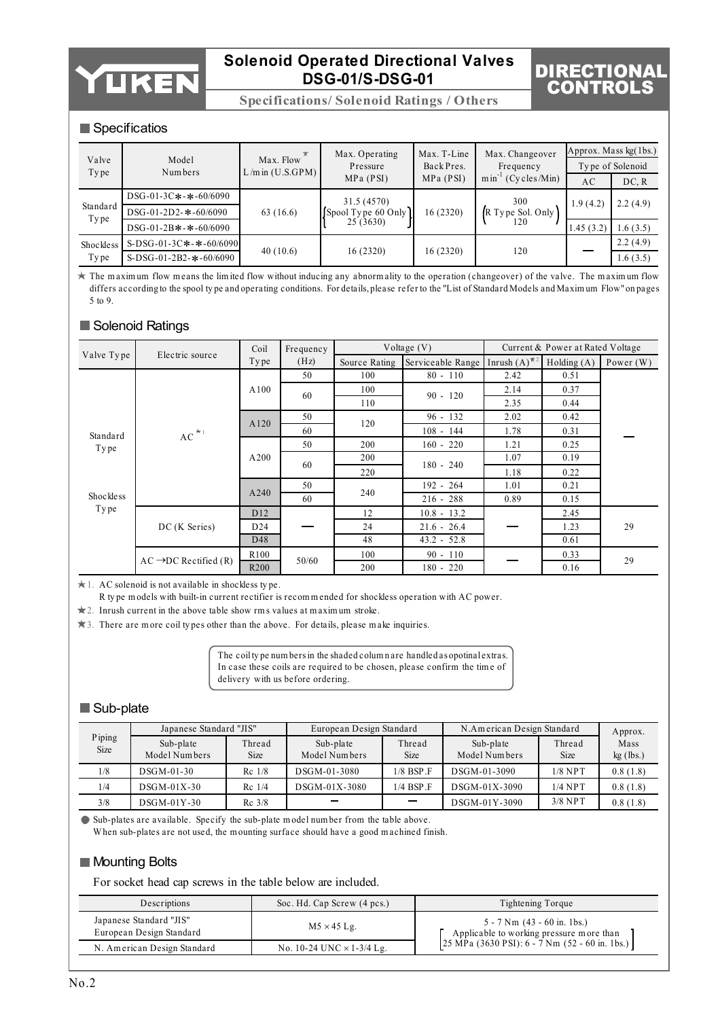

**Specifications/ Solenoid Ratings / Others**

# DIRECTIONAL CONTROLS

### Specificatios

| Valve<br>Type    | Model<br>Numbers             | Max. Flow<br>$L/m$ in $(U.S.GPM)$ | Max. Operating<br>Pressure | Max. T-Line<br>Back Pres. | Max. Changeover<br>Frequency  | Approx. Mass $kg(1bs.)$<br>Type of Solenoid |          |  |
|------------------|------------------------------|-----------------------------------|----------------------------|---------------------------|-------------------------------|---------------------------------------------|----------|--|
|                  |                              |                                   | MPa (PSI)                  | MPa (PSI)                 | $min^{-1}$<br>$(Cv$ cles/Min) | AC                                          | DC, R    |  |
|                  | DSG-01-3C*-*-60/6090         |                                   | 31.5 (4570)                |                           | 300                           | 1.9(4.2)                                    | 2.2(4.9) |  |
| Standard<br>Type | DSG-01-2D2- $*$ -60/6090     | 63(16.6)                          | [Spool Type 60 Only]       | 16 (2320)                 | R Type Sol. Only              |                                             |          |  |
|                  | DSG-01-2B $*$ - $*$ -60/6090 |                                   | 25(3630)                   |                           | 120                           | 1.45(3.2)                                   | 1.6(3.5) |  |
| Shockless        | S-DSG-01-3C*-*-60/6090       |                                   |                            |                           |                               |                                             | 2.2(4.9) |  |
| Type             | S-DSG-01-2B2- $*$ -60/6090   | 40(10.6)                          | 16(2320)                   | 16(2320)                  | 120                           |                                             | 1.6(3.5) |  |

 $\star$  The m aximum flow means the limited flow without inducing any abnormality to the operation (changeover) of the valve. The maximum flow differs according to the spool ty pe and operating conditions. For details, please refer to the "List of Standard Models and Maxim um Flow" on pages 5 to 9.

### Solenoid Ratings

|           | Coil<br>Valve Type<br>Electric source |                  | Frequency |               | Voltage $(V)$     |                       | Current & Power at Rated Voltage |             |
|-----------|---------------------------------------|------------------|-----------|---------------|-------------------|-----------------------|----------------------------------|-------------|
|           |                                       | Type             | (Hz)      | Source Rating | Serviceable Range | Inrush $(A)^{\ast 2}$ | Holding(A)                       | Power $(W)$ |
|           |                                       |                  | 50        | 100           | $80 - 110$        | 2.42                  | 0.51                             |             |
|           |                                       | A100             | 60        | 100           | $90 - 120$        |                       | 0.37                             |             |
|           |                                       |                  |           | 110           |                   | 2.35                  | 0.44                             |             |
|           |                                       | A120             | 50        | 120           | $96 - 132$        | 2.02                  | 0.42                             |             |
| Standard  | $AC^{\star_1}$                        |                  | 60        |               | $108 - 144$       | 1.78                  | 0.31                             |             |
| Type      |                                       |                  | 50        | 200           | $160 - 220$       | 1.21                  | 0.25                             |             |
|           |                                       | A200             | 60        | 200           | $180 - 240$       | 1.07                  | 0.19                             |             |
|           |                                       |                  |           | 220           |                   | 1.18                  | 0.22                             |             |
|           |                                       |                  | 50        |               | $192 - 264$       | 1.01                  | 0.21                             |             |
| Shockless |                                       | A240             | 60        | 240           | $216 - 288$       | 0.89                  | 0.15                             |             |
| Type      |                                       | D <sub>12</sub>  |           | 12            | $10.8 - 13.2$     |                       | 2.45                             |             |
|           | DC (K Series)                         | D <sub>24</sub>  |           | 24            | $21.6 - 26.4$     |                       | 1.23                             | 29          |
|           |                                       | D48              |           | 48            | $43.2 - 52.8$     |                       | 0.61                             |             |
|           | $AC \rightarrow DC$ Rectified (R)     | R <sub>100</sub> | 50/60     | 100           | $90 - 110$        |                       | 0.33                             | 29          |
|           |                                       | R <sub>200</sub> |           | 200           | 180 - 220         |                       | 0.16                             |             |

1. AC solenoid is not available in shockless ty pe.

R ty pe m odels with built-in current rectifier is recom m ended for shockless operation with AC power.

2. Inrush current in the above table show rm s values at m axim um stroke.

3. There are m ore coil ty pes other than the above. For details, please m ake inquiries.

The coil ty pe num bers in the shaded colum n are handled as opotinal extras. In case these coils are required to be chosen, please confirm the tim e of delivery with us before ordering.

### Sub-plate

|                | Japanese Standard "JIS"    |                       | European Design Standard   |                          | N.American Design Standard | Approx.               |                     |
|----------------|----------------------------|-----------------------|----------------------------|--------------------------|----------------------------|-----------------------|---------------------|
| Piping<br>Size | Sub-plate<br>Model Numbers | Thread<br><b>Size</b> | Sub-plate<br>Model Numbers | Thread<br>Size           | Sub-plate<br>Model Numbers | Thread<br><b>Size</b> | Mass<br>$kg$ (lbs.) |
| 1/8            | $DSGM-01-30$               | $Rc$ 1/8              | DSGM-01-3080               | $1/8$ BSP $\overline{F}$ | DSGM-01-3090               | $1/8$ NPT             | 0.8(1.8)            |
| 1/4            | $DSGM-01X-30$              | $Re$ 1/4              | $DSGM-01X-3080$            | $1/4$ BSP $\Gamma$       | DSGM-01X-3090              | $1/4$ NPT             | 0.8(1.8)            |
| 3/8            | $DSGM-01Y-30$              | $Rc$ 3/8              |                            |                          | DSGM-01Y-3090              | $3/8$ NPT             | 0.8(1.8)            |

Sub-plates are available. Specify the sub-plate m odel num ber from the table above. W hen sub-plates are not used, the m ounting surface should have a good m achined finish.

### **Mounting Bolts**

For socket head cap screws in the table below are included.

| Descriptions                                        | Soc. Hd. Cap Screw (4 pcs.)      | Tightening Torque                                                                                                               |
|-----------------------------------------------------|----------------------------------|---------------------------------------------------------------------------------------------------------------------------------|
| Japanese Standard "JIS"<br>European Design Standard | $M5 \times 45$ Lg.               | $5 - 7$ Nm $(43 - 60$ in. 1bs.)<br>Applicable to working pressure more than<br>25 MPa (3630 PSI): $6 - 7$ Nm (52 - 60 in. 1bs.) |
| N. American Design Standard                         | No. 10-24 UNC $\times$ 1-3/4 Lg. |                                                                                                                                 |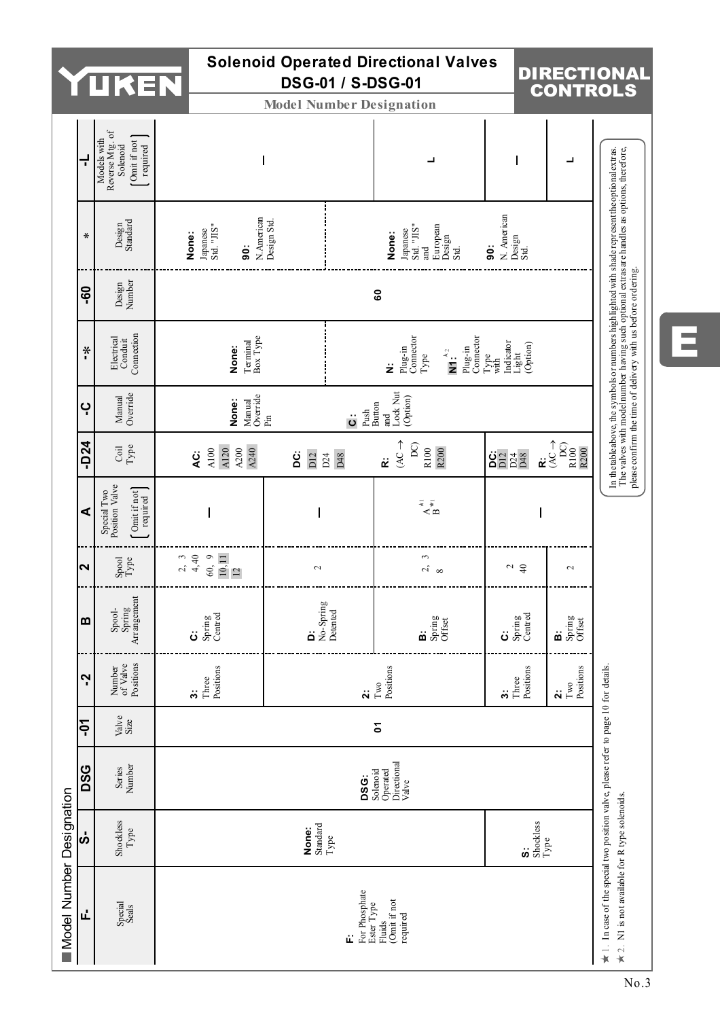|                          |                   | L.                                                                                                                    |                                                        | <b>DSG-01</b>             |                                   | <b>Solenoid Operated Directional Valves</b><br>/ S-DSG-01                                |                                                                                                   | <b>DIRECT</b><br><b>CONT</b>                       |
|--------------------------|-------------------|-----------------------------------------------------------------------------------------------------------------------|--------------------------------------------------------|---------------------------|-----------------------------------|------------------------------------------------------------------------------------------|---------------------------------------------------------------------------------------------------|----------------------------------------------------|
|                          |                   |                                                                                                                       |                                                        |                           |                                   | <b>Model Number Designation</b>                                                          |                                                                                                   |                                                    |
|                          | ť                 | Reverse Mtg. of<br>Models with<br>Comit if not<br>Solenoid<br>required                                                |                                                        |                           |                                   | ┙                                                                                        | I                                                                                                 | ┙                                                  |
|                          | $\pmb{\ast}$      | Design<br>Standard                                                                                                    | Japanese<br>Std. "JIS"<br>None:<br>$\ddot{\mathbf{e}}$ | N.American<br>Design Std. |                                   | Japanese<br>Std. "JIS"<br>and<br>European<br>Design<br>Std.<br>None:                     | N. American<br>Design<br>Std.<br>ö                                                                |                                                    |
|                          | <b>GO</b>         | Design<br>Number                                                                                                      |                                                        |                           |                                   | 60                                                                                       |                                                                                                   |                                                    |
|                          | $*$               | Conduit<br>Connection<br>Electrical                                                                                   | Terminal<br>Box Type<br>None:                          |                           |                                   | Plug-in<br>Connector<br>Plug-in<br>Connector<br>$\overline{\mathbf{M}}$ :<br>$Type$<br>ż | $\begin{array}{l} \text{Indiator} \\ \text{Light} \\ (\text{Option}) \end{array}$<br>Type<br>with |                                                    |
|                          | ٻ                 | Manual<br>Override                                                                                                    | Manual<br>Override<br>Pin<br>None:                     |                           | Push<br>Button<br>$\ddot{\circ}$  | Lock Nut<br>(Option)<br>and                                                              |                                                                                                   |                                                    |
|                          | $-D24$            | Coil<br>Type                                                                                                          | A240<br>A120<br>$\lambda200$<br>A100<br>تە             | DI2<br>ä                  | D48<br>D24                        | $\uparrow$<br>$\Omega$<br>R100<br>R200<br>ċ                                              | $\frac{6}{2}$ $\frac{1}{2}$ $\frac{4}{2}$ $\frac{8}{2}$                                           | $\uparrow$<br>$\frac{DC}{R100}$<br>ż               |
|                          | ⋖                 | Special Two<br>Position Valve<br>$[ \begin{array}{c} \mathtt{Omit} \text{ if not} \\ \mathtt{required} \end{array} ]$ |                                                        |                           |                                   | $\vec{A}$                                                                                |                                                                                                   | $\overline{\phantom{a}}$                           |
|                          | $\mathbf{\Omega}$ | $\frac{\text{Spool}}{\text{Type}}$                                                                                    | $2, 40$<br>$4, 40$<br>$60, 11$<br>$12$                 | $\mathbf{\sim}$           |                                   | 3<br>$\sim$ $\infty$                                                                     | $\frac{2}{4}$                                                                                     | $\sim$                                             |
|                          | m                 | Arrangemen<br>Spool-<br>Spring                                                                                        | Spring<br>Centred<br>ڗ                                 | ä                         | No-Spring<br>Detented             | Spring<br>Offset<br>ö                                                                    | Centred<br>Spring<br>ڗ                                                                            | Spring<br>Offset<br>öö                             |
|                          | Ņ                 | Number<br>of Valve<br>Positions                                                                                       | Positions<br>Three<br>$\ddot{ }$                       |                           | $\ddot{\mathbf{a}}$               | Positions<br>$_{\rm Two}$                                                                | Positions<br>Three<br>$\ddot{\bm{5}}$                                                             | Positions<br>$\mathbf{Two}$<br>$\ddot{\mathbf{v}}$ |
|                          | ငှ                | Valve<br>Size                                                                                                         |                                                        |                           |                                   | Σ                                                                                        |                                                                                                   |                                                    |
|                          | <b>DSG</b>        | Number<br>Series                                                                                                      |                                                        |                           | <b>DSG:</b>                       | Directional<br>Solenoid<br>Operated<br>Valve                                             |                                                                                                   |                                                    |
|                          | ဟဲ                | Shockless<br>$Type$                                                                                                   |                                                        | Standard<br>None:         | Type                              |                                                                                          | ဖ                                                                                                 | Shockless<br>Type                                  |
| Model Number Designation | ú,                | Special<br>Seals                                                                                                      |                                                        |                           | For Phosphate<br>Ester Type<br>á. | Fluids<br>(Omit if not<br>required                                                       |                                                                                                   |                                                    |

DIRECTIONAL CONTROLS

E

No.3

 $\neq$  1. In case of the special two position valve, please refer to page 10 for details.<br> $\neq$  2. N1 is not available for R type solenoids.

N1 is not available for R type solenoids.

In case of the special two position valve, please refer to page 10 for details.

.<br>N1 is not available for R type solenoids. A type solenoids. The value of the wave with model number having such optional extras are handles as optional extras.

please confirm the time of delivery with us before ordering.

In the table above, the symbols or numbers highlighted with shade represent the optional extras.<br>The valves with model number having such optional extras are handles as options, therefore,<br>please confirm the time of delive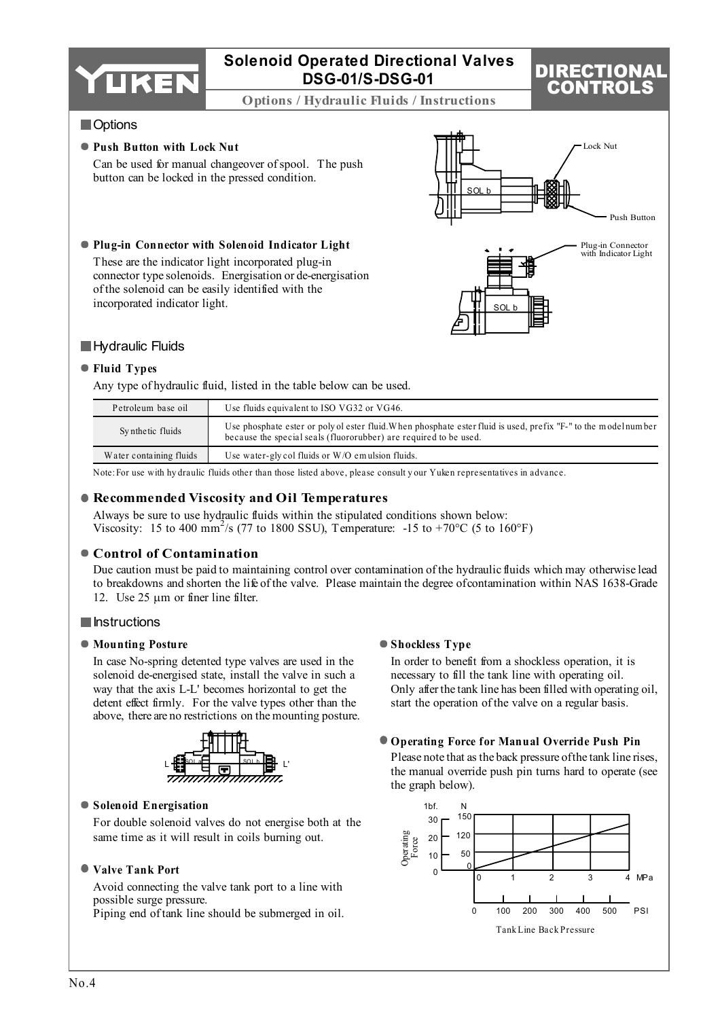

**Options / Hydraulic Fluids / Instructions**

# DIRECTION CONTROLS

### **Options**

### **Push Button with Lock Nut**

incorporated indicator light.

Can be used for manual changeover of spool. The push button can be locked in the pressed condition.

**Plug-in Connector with Solenoid Indicator Light** These are the indicator light incorporated plug-in connector type solenoids. Energisation or de-energisation

of the solenoid can be easily identified with the





### **Hydraulic Fluids**

#### **Fluid Types**

Any type of hydraulic fluid, listed in the table below can be used.

| Petroleum base oil      | Use fluids equivalent to ISO VG32 or VG46.                                                                                                                                           |
|-------------------------|--------------------------------------------------------------------------------------------------------------------------------------------------------------------------------------|
| Synthetic fluids        | Use phosphate ester or poly of ester fluid. When phosphate ester fluid is used, prefix "F-" to the model number<br>because the special seals (fluororubber) are required to be used. |
| Water containing fluids | Use water-gly col fluids or W/O emulsion fluids.                                                                                                                                     |

Note:For use with hy draulic fluids other than those listed above, please consult y our Yuken representatives in advance.

### **Recommended Viscosity and Oil Temperatures**

Always be sure to use hydraulic fluids within the stipulated conditions shown below: Viscosity: 15 to 400 mm<sup>2</sup>/s (77 to 1800 SSU), Temperature: -15 to +70°C (5 to 160°F)

### **Control of Contamination**

Due caution must be paid to maintaining control over contamination of the hydraulic fluids which may otherwise lead to breakdowns and shorten the life of the valve. Please maintain the degree of contamination within NAS 1638-Grade 12. Use 25  $\mu$ m or finer line filter.

### **Instructions**

### **Mounting Posture**

In case No-spring detented type valves are used in the solenoid de-energised state, install the valve in such a way that the axis L-L' becomes horizontal to get the detent effect firmly. For the valve types other than the above, there are no restrictions on the mounting posture.



### **Solenoid Energisation**

For double solenoid valves do not energise both at the same time as it will result in coils burning out.

### **Valve Tank Port**

Avoid connecting the valve tank port to a line with possible surge pressure.

Piping end of tank line should be submerged in oil.

### **Shockless Type**

In order to benefit from a shockless operation, it is necessary to fill the tank line with operating oil. Only after the tank line has been filled with operating oil, start the operation of the valve on a regular basis.

### **Operating Force for Manual Override Push Pin**

Please note that as the back pressure of the tank line rises, the manual override push pin turns hard to operate (see the graph below).

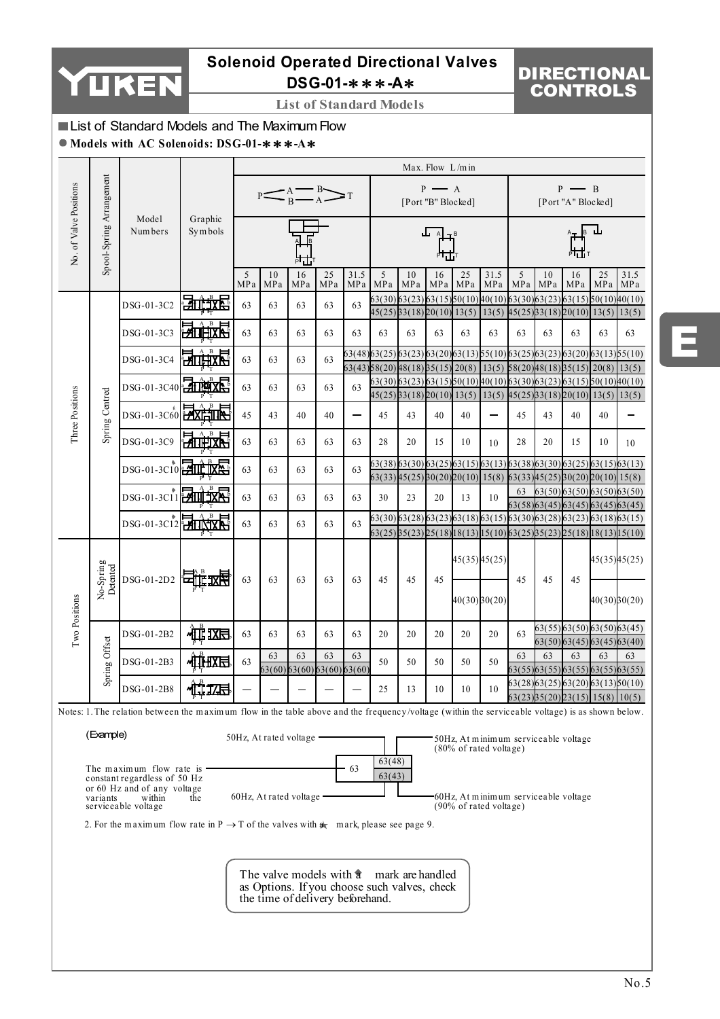

# **Solenoid Operated Directional Valves DSG-01-**∗∗∗**-A**∗

# DIRECTIONAL CONTROLS

**List of Standard Models**

# **List of Standard Models and The Maximum Flow**

### **Models with AC Solenoids: DSG-01-**∗∗∗**-A**∗

|                        |                          |                                                                                                                                                  |                      |          | Max. Flow $L/m$ in                |           |           |             |                  |                                                                                                                   |                                             |                   |                                                                           |          |                                                                                  |                                             |           |              |
|------------------------|--------------------------|--------------------------------------------------------------------------------------------------------------------------------------------------|----------------------|----------|-----------------------------------|-----------|-----------|-------------|------------------|-------------------------------------------------------------------------------------------------------------------|---------------------------------------------|-------------------|---------------------------------------------------------------------------|----------|----------------------------------------------------------------------------------|---------------------------------------------|-----------|--------------|
|                        |                          |                                                                                                                                                  |                      |          | $P \leq A \leq B$                 |           |           |             |                  |                                                                                                                   | $P \longrightarrow A$<br>[Port "B" Blocked] |                   |                                                                           |          |                                                                                  | $P \longrightarrow B$<br>[Port "A" Blocked] |           |              |
| No. of Valve Positions | Spool-Spring Arrangement | Model<br>Numbers                                                                                                                                 | Graphic<br>Symbols   |          |                                   |           |           |             |                  |                                                                                                                   |                                             |                   |                                                                           |          |                                                                                  |                                             |           |              |
|                        |                          |                                                                                                                                                  |                      | 5<br>MPa | 10<br>MPa                         | 16<br>MPa | 25<br>MPa | 31.5<br>MPa | 5<br>MPa         | 10<br>MPa                                                                                                         | 16<br>MPa MPa                               | 25                | 31.5<br>MPa                                                               | 5<br>MPa | 10<br>MPa                                                                        | 16<br>MPa                                   | 25<br>MPa | 31.5<br>MPa  |
|                        |                          | DSG-01-3C2                                                                                                                                       | 法此故意                 | 63       | 63                                | 63        | 63        | 63          | 63(30)           | 63(23)63(15)50(10)40(10)63(30)63(23)<br>$45(25)$ $3(18)$ $20(10)$ $13(5)$                                         |                                             |                   | $13(5)$ $45(25)$ $33(18)$ $20(10)$ $13(5)$ $13(5)$                        |          |                                                                                  | 63(15)50(10)40(10)                          |           |              |
|                        |                          | DSG-01-3C3                                                                                                                                       | <del>ι⊿</del> Π      | 63       | 63                                | 63        | 63        | 63          | 63               | 63                                                                                                                | 63                                          | 63                | 63                                                                        | 63       | 63                                                                               | 63                                          | 63        | 63           |
|                        |                          | DSG-01-3C4                                                                                                                                       |                      | 63       | 63                                | 63        | 63        |             |                  | 63(48)63(25)63(23)63(20)63(13)55(10)63(25)63(23)63(20)63(13)55(10)<br>$63(43)$ $58(20)$ $48(18)$ $55(15)$ $20(8)$ |                                             |                   | $13(5)$ $58(20)$ $48(18)$ $55(15)$ $20(8)$ $13(5)$                        |          |                                                                                  |                                             |           |              |
|                        |                          | DSG-01-3C40 710 X                                                                                                                                |                      | 63       | 63                                | 63        | 63        | 63          |                  | 63(30)63(23)63(15)60(10)40(10)63(30)63(23)63(15)60(10)40(10)                                                      |                                             |                   |                                                                           |          |                                                                                  |                                             |           |              |
|                        |                          |                                                                                                                                                  |                      |          |                                   |           |           |             |                  | $45(25)33(18)20(10)13(5)13(5)45(25)3(18)20(10)13(5)13(5)$                                                         |                                             |                   |                                                                           |          |                                                                                  |                                             |           |              |
| Three Positions        | Spring Centred           | DSG-01-3C60 2XHIR                                                                                                                                |                      | 45       | 43                                | 40        | 40        |             | 45               | 43                                                                                                                | 40                                          | 40                |                                                                           | 45       | 43                                                                               | 40                                          | 40        |              |
|                        |                          | DSG-01-3C9                                                                                                                                       | $\cdot^{\mathbf{B}}$ | 63       | 63                                | 63        | 63        | 63          | 28               | 20                                                                                                                | 15                                          | 10                | 10                                                                        | 28       | 20                                                                               | 15                                          | 10        | 10           |
|                        |                          | DSG-01-3C10 211 KR                                                                                                                               |                      | 63       | 63                                | 63        | 63        | 63          |                  | 63(38) 63(30) 63(25) 63(15) 63(13) 63(38) 63(30) 63(25) 63(15) 63(13)                                             |                                             |                   |                                                                           |          |                                                                                  |                                             |           |              |
|                        |                          |                                                                                                                                                  |                      |          |                                   |           |           |             |                  | 63(33)45(25)80(20)20(10)15(8)                                                                                     |                                             |                   |                                                                           |          | 63(33)45(25)30(20)20(10)15(8)                                                    |                                             |           |              |
|                        |                          | DSG-01-3C11 2111 XX                                                                                                                              |                      | 63       | 63                                | 63        | 63        | 63          | 30               | 23                                                                                                                | 20                                          | 13                | 10                                                                        | 63       | 63(50)63(50)63(50)63(50)<br>63(58) 63(45) 63(45) 63(45) 63(45)                   |                                             |           |              |
|                        |                          |                                                                                                                                                  |                      |          |                                   |           |           |             |                  | 63(30) 63(28) 63(23) 63(18) 63(15) 63(30) 63(28) 63(23) 63(18) 63(15)                                             |                                             |                   |                                                                           |          |                                                                                  |                                             |           |              |
|                        |                          | DSG-01-3C12 HINXX                                                                                                                                |                      | 63       | 63                                | 63        | 63        | 63          |                  | $63(25)$ $85(23)$ $25(18)$ $18(13)$ $15(10)$ $63(25)$ $85(23)$ $25(18)$ $18(13)$ $15(10)$                         |                                             |                   |                                                                           |          |                                                                                  |                                             |           |              |
|                        | No-Spring<br>Detented    | DSG-01-2D2                                                                                                                                       | 日雌双甲                 |          |                                   |           |           |             |                  |                                                                                                                   |                                             | 45(35) 45(25)     |                                                                           |          |                                                                                  | 45                                          |           | 45(35)45(25) |
| Two Positions          |                          |                                                                                                                                                  |                      | 63       | 63                                | 63        | 63        | 63          | 45               | 45                                                                                                                | 45                                          | $40(30)$ $80(20)$ |                                                                           | 45       | 45                                                                               |                                             |           | 40(30)30(20) |
|                        |                          | DSG-01-2B2                                                                                                                                       | $\frac{1}{2}$        | 63       | 63                                | 63        | 63        | 63          | 20               | 20                                                                                                                | 20                                          | 20                | 20                                                                        | 63       | 63(55) 63(50) 63(50) 63(45)                                                      | 63(50) 63(45) 63(45) 63(40)                 |           |              |
|                        | Spring Offset            | DSG-01-2B3                                                                                                                                       | 机电压                  | 63       | 63                                | 63        | 63        | 63          | 50               | 50                                                                                                                | 50                                          | 50                | 50                                                                        | 63       | 63                                                                               | 63                                          | 63        | 63           |
|                        |                          |                                                                                                                                                  |                      |          | 63(60) 63(60) 63(60) 63(60)       |           |           |             |                  |                                                                                                                   |                                             |                   |                                                                           |          | 63(55)63(55)63(55)63(55)63(55)                                                   |                                             |           |              |
|                        |                          | DSG-01-2B8                                                                                                                                       | 位四                   |          |                                   |           |           |             | 25               | 13                                                                                                                | 10                                          | 10                | 10                                                                        |          | 63(28) 63(25) 63(20) 63(13) 50(10)<br>$63(23)$ $85(20)$ $23(15)$ $15(8)$ $10(5)$ |                                             |           |              |
|                        |                          | Notes: 1. The relation between the maximum flow in the table above and the frequency/voltage (within the serviceable voltage) is as shown below. |                      |          |                                   |           |           |             |                  |                                                                                                                   |                                             |                   |                                                                           |          |                                                                                  |                                             |           |              |
|                        |                          |                                                                                                                                                  |                      |          |                                   |           |           |             |                  |                                                                                                                   |                                             |                   |                                                                           |          |                                                                                  |                                             |           |              |
|                        | (Example)                |                                                                                                                                                  |                      |          | 50Hz, At rated voltage .          |           |           |             |                  |                                                                                                                   |                                             |                   | 50Hz, At minimum serviceable voltage<br>$(80\% \text{ of rated voltage})$ |          |                                                                                  |                                             |           |              |
|                        | variants                 | The maximum flow rate is<br>constant regardless of 50 Hz<br>or 60 Hz and of any voltage<br>within<br>serviceable voltage                         | the                  |          | $60Hz$ , At rated voltage $\cdot$ |           |           | 63          | 63(48)<br>63(43) |                                                                                                                   |                                             |                   | 60Hz, At minimum serviceable voltage<br>(90% of rated voltage)            |          |                                                                                  |                                             |           |              |

2. For the maximum flow rate in  $P \rightarrow T$  of the valves with  $\alpha$  mark, please see page 9.

The valve models with  $\hat{a}$  mark are handled as Options. If you choose such valves, check the time of delivery beforehand.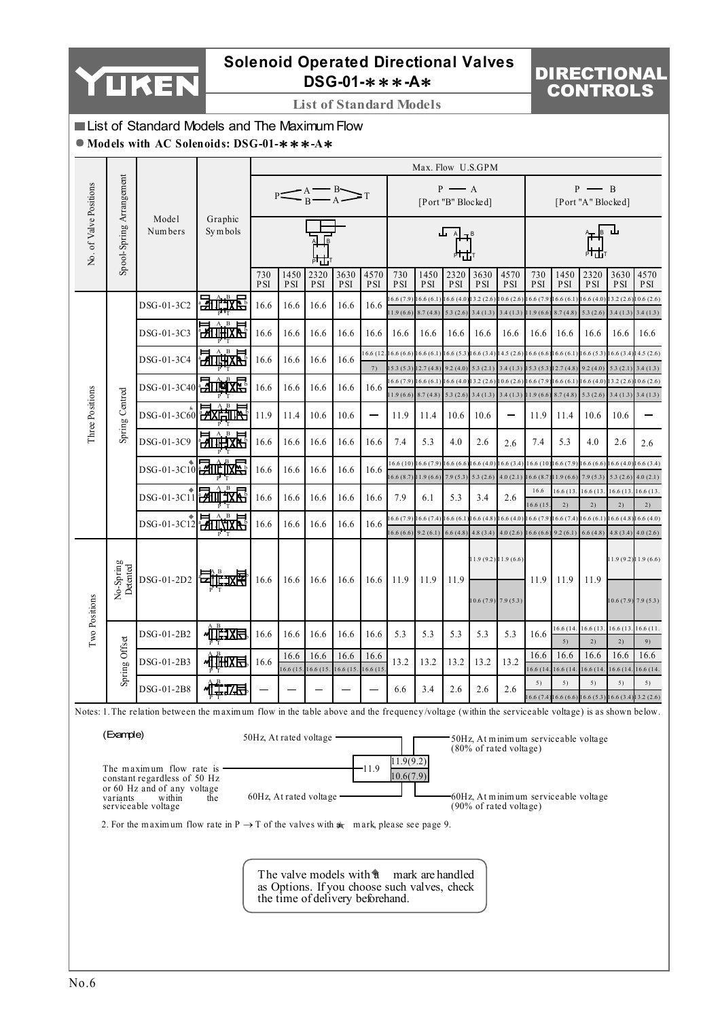

# **Solenoid Operated Directional Valves DSG-01-**∗∗∗**-A**∗

# DIRECTIONAL CONTROLS

**List of Standard Models**

## List of Standard Models and The Maximum Flow

### **Models with AC Solenoids: DSG-01-**∗∗∗**-A**∗

|                        |                          |                                                                                                                                                  |                               |                   |                    |                                                             |                    |                    |                                               | Max. Flow U.S.GPM                                                |                                             |                        |                                                                                           |                        |                                   |                                             |                                                      |                                    |
|------------------------|--------------------------|--------------------------------------------------------------------------------------------------------------------------------------------------|-------------------------------|-------------------|--------------------|-------------------------------------------------------------|--------------------|--------------------|-----------------------------------------------|------------------------------------------------------------------|---------------------------------------------|------------------------|-------------------------------------------------------------------------------------------|------------------------|-----------------------------------|---------------------------------------------|------------------------------------------------------|------------------------------------|
|                        |                          |                                                                                                                                                  |                               |                   |                    | $P \leq$ $\frac{A}{B} \leq$ $\frac{B}{A}$                   |                    |                    |                                               |                                                                  | $P \longrightarrow A$<br>[Port "B" Blocked] |                        |                                                                                           |                        |                                   | $P \longrightarrow B$<br>[Port "A" Blocked] |                                                      |                                    |
| No. of Valve Positions | Spool-Spring Arrangement | Model<br>Numbers                                                                                                                                 | Graphic<br>Symbols            |                   |                    |                                                             |                    |                    |                                               |                                                                  | ᅟᅟᅟ                                         |                        |                                                                                           |                        |                                   |                                             |                                                      |                                    |
|                        |                          |                                                                                                                                                  |                               | 730<br><b>PSI</b> | 1450<br><b>PSI</b> | 2320<br>PSI                                                 | 3630<br><b>PSI</b> | 4570<br><b>PSI</b> | 730<br><b>PSI</b>                             | 1450<br><b>PSI</b>                                               | 2320<br><b>PSI</b>                          | 3630<br><b>PSI</b>     | 4570<br><b>PSI</b>                                                                        | 730<br>PSI             | 1450<br><b>PSI</b>                | 2320<br><b>PSI</b>                          | 3630<br><b>PSI</b>                                   | 4570<br><b>PSI</b>                 |
|                        |                          | DSG-01-3C2                                                                                                                                       | 动雌粒菌                          | 16.6              | 16.6               | 16.6                                                        | 16.6               | 16.6               | 6.6(7.9)<br>1.9(6.6)                          | 16.6(6.1)<br>8.7(4.8)                                            | 16.6(4.0)<br>5.3(2.6)                       | 13.2 (2.6)<br>3.4(1.3) | 10.6(2.6)<br>3.4(1.3)                                                                     | 6.6 (7.9<br>1.9(6.6)   | 16.6(6.1)<br>8.7(4.8)             | 16.6(4.0)<br>5.3(2.6)                       | 3.2(2.6)                                             | 10.6(2.6)<br>$3.4(1.3)$ $3.4(1.3)$ |
|                        |                          | DSG-01-3C3                                                                                                                                       | B<br><b>EXTITUES A</b>        | 16.6              | 16.6               | 16.6                                                        | 16.6               | 16.6               | 16.6                                          | 16.6                                                             | 16.6                                        | 16.6                   | 16.6                                                                                      | 16.6                   | 16.6                              | 16.6                                        | 16.6                                                 | 16.6                               |
|                        |                          | DSG-01-3C4                                                                                                                                       | .в<br><b>PITTHEAN</b>         | 16.6              | 16.6               | 16.6                                                        | 16.6               | 16.6 (12<br>7)     | 16.6(6.6)16.6(6.1)<br>$15.3(5.3)$ $12.7(4.8)$ |                                                                  | 16.6(5.3)16.6(3.4)<br>9.2(4.0)              | 5.3(2.1)               | 14.5 (2.6) 16.6 (6.6) 16.6 (6.1) 16.6 (5.3) 16.6 (3.4<br>$3.4(1.3)$ 15.3 (5.3) 12.7 (4.8) |                        |                                   | 9.2(4.0)                                    | 5.3(2.1)                                             | 14.5(2.6)                          |
|                        |                          | DSG-01-3C40 200                                                                                                                                  |                               | 16.6              | 16.6               | 16.6                                                        | 16.6               | 16.6               | 6.6(7.9)                                      | 16.6(6.1)                                                        | 16.6(4.0)                                   | 13.2(2.6)              | 10.6 (2.6) 16.6 (7.9)                                                                     |                        | 16.6(6.1)16.6(4.0)                |                                             | 13.2 (2.6)                                           | 3.4(1.3)<br>0.6(2.6)               |
|                        | Spring Centred           | DSG-01-3C60 2XETING                                                                                                                              | $A$ $B$                       | 11.9              | 11.4               | 10.6                                                        | 10.6               | —                  | 1.9(6.6)<br>11.9                              | 8.7(4.8)<br>11.4                                                 | 5.3(2.6)<br>10.6                            | 3.4(1.3)<br>10.6       | 3.4(1.3)                                                                                  | 1.9(6.6)<br>11.9       | 8.7(4.8)<br>11.4                  | 5.3(2.6)<br>10.6                            | 10.6                                                 | $3.4(1.3)$ $3.4(1.3)$              |
| Three Positions        |                          | DSG-01-3C9                                                                                                                                       | $\mathbf{B}$<br><b>Změrke</b> | 16.6              | 16.6               | 16.6                                                        | 16.6               | 16.6               | 7.4                                           | 5.3                                                              | 4.0                                         | 2.6                    | 2.6                                                                                       | 7.4                    | 5.3                               | 4.0                                         | 2.6                                                  | 2.6                                |
|                        |                          | DSG-01-3C10 211E IXE                                                                                                                             |                               |                   |                    |                                                             |                    |                    | 16.6(10)                                      | 16.6 (7.9)                                                       | 16.6(6.6)                                   | 16.6(4.0)              | 16.6(3.4)                                                                                 |                        | 16.6(10)16.6(7.9)16.6(6.6)        |                                             | 16.6 (4.0                                            | 6.6(3.4)                           |
|                        |                          |                                                                                                                                                  |                               | 16.6              | 16.6               | 16.6                                                        | 16.6               | 16.6               | $16.6(8.7)$ 11.9 (6.6)                        |                                                                  | 7.9(5.3)                                    | 5.3(2.6)               | 4.0(2.1)                                                                                  | 16.6 (8.7<br>16.6      | $11.9(6.6)$ 7.9 (5.3)<br>16.6(13) | 16.6 (13                                    | 5.3(2.6)<br>16.6(13)                                 | 4.0(2.1)<br>16.6(13.               |
|                        |                          | DSG-01-3C11 2011 1X                                                                                                                              |                               | 16.6              | 16.6               | 16.6                                                        | 16.6               | 16.6               | 7.9                                           | 6.1                                                              | 5.3                                         | 3.4                    | 2.6                                                                                       | 16.6(15)               | 2)                                | 2)                                          | 2)                                                   | 2)                                 |
|                        |                          | DSG-01-3C12 HILLYX                                                                                                                               |                               | 16.6              | 16.6               | 16.6                                                        | 16.6               | 16.6               | 6.6(7.9)<br>6.6(6.6)                          | 16.6(7.4)<br>9.2(6.1)                                            | 16.6(6.1)<br>6.6(4.8)                       | 6.6(4.8)<br>4.8(3.4)   | 16.6(4.0)<br>4.0(2.6)                                                                     | 6.6 (7.9)<br>16.6(6.6) | 16.6(7.4)<br>9.2(6.1)             | 16.6(6.1)<br>6.6(4.8)                       | 16.6(4.8)<br>4.8(3.4)                                | 6.6(4.0)<br>4.0(2.6)               |
|                        | No-Spring<br>Detented    | DSG-01-2D2                                                                                                                                       | 可雌双角                          | 16.6              | 16.6               | 16.6                                                        | 16.6               | 16.6               | 11.9                                          | 11.9                                                             | 11.9                                        | $10.6(7.9)$ 7.9 (5.3)  | 11.9 (9.2) 11.9 (6.6)                                                                     | 11.9                   | 11.9                              | 11.9                                        | 10.6(7.9)7.9(5.3)                                    | 1.9(9.2)11.9(6.6)                  |
| Two Positions          |                          | DSG-01-2B2                                                                                                                                       | 仙期                            | 16.6              | 16.6               | 16.6                                                        | 16.6               | 16.6               | 5.3                                           | 5.3                                                              | 5.3                                         | 5.3                    | 5.3                                                                                       | 16.6                   | 16.6(14.<br>5)                    | 16.6(13)<br>2)                              | 16.6 (13. 16.6 (11<br>2)                             | 9)                                 |
|                        | Spring Offset            | DSG-01-2B3                                                                                                                                       | 心理地                           | 16.6              | 16.6               | 16.6                                                        | 16.6               | 16.6               | 13.2                                          | 13.2                                                             | 13.2                                        | 13.2                   | 13.2                                                                                      | 16.6                   | 16.6                              | 16.6                                        | 16.6                                                 | 16.6                               |
|                        |                          | DSG-01-2B8                                                                                                                                       | <b>√LİZE</b>                  |                   | 16.6(15.           | 16.6 (15                                                    | 16.6 (15           | 16.6(15)           | 6.6                                           | 3.4                                                              | 2.6                                         | 2.6                    | 2.6                                                                                       | 16.6 (14<br>5)         | 16.6(14)<br>5)                    | 16.6(14)<br>5)                              | 16.6(14)<br>5)                                       | 16.6 (14.<br>5)                    |
|                        |                          | Notes: 1. The relation between the maximum flow in the table above and the frequency/voltage (within the serviceable voltage) is as shown below. |                               |                   |                    |                                                             |                    |                    |                                               |                                                                  |                                             |                        |                                                                                           |                        |                                   |                                             | $6.6(7.4)[16.6(6.6)[16.6(5.3)][16.6(3.4)[13.2(2.6)]$ |                                    |
|                        | (Example)                | The maximum flow rate is                                                                                                                         |                               |                   |                    | 50Hz, At rated voltage                                      |                    | -11.9              | 11.9(9.2)                                     |                                                                  |                                             |                        | 50Hz, At minimum serviceable voltage<br>$(80\% \text{ of rated voltage})$                 |                        |                                   |                                             |                                                      |                                    |
|                        | variants                 | constant regardless of 50 Hz<br>or 60 Hz and of any voltage<br>within<br>serviceable voltage                                                     | the                           |                   |                    | 60Hz, At rated voltage -                                    |                    |                    | 10.6(7.9)                                     |                                                                  |                                             |                        | 60Hz, At minimum serviceable voltage<br>$(90\% \text{ of rated voltage})$                 |                        |                                   |                                             |                                                      |                                    |
|                        |                          | 2. For the maximum flow rate in $P \rightarrow T$ of the valves with $\mathbf{a}$ mark, please see page 9.                                       |                               |                   |                    |                                                             |                    |                    |                                               |                                                                  |                                             |                        |                                                                                           |                        |                                   |                                             |                                                      |                                    |
|                        |                          |                                                                                                                                                  |                               |                   |                    | The valve models with a<br>the time of delivery beforehand. |                    |                    |                                               | mark are handled<br>as Options. If you choose such valves, check |                                             |                        |                                                                                           |                        |                                   |                                             |                                                      |                                    |
|                        |                          |                                                                                                                                                  |                               |                   |                    |                                                             |                    |                    |                                               |                                                                  |                                             |                        |                                                                                           |                        |                                   |                                             |                                                      |                                    |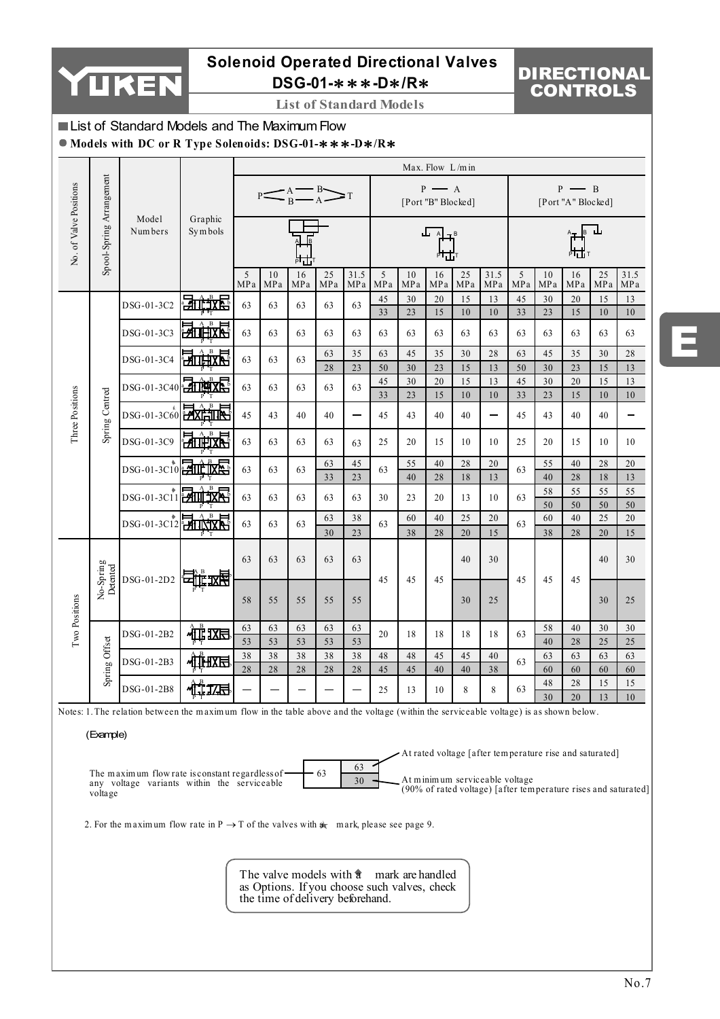

# **Solenoid Operated Directional Valves DSG-01-**∗∗∗**-D**∗**/R**∗

### **List of Standard Models**

# DIRECTIONAL CONTROLS

### List of Standard Models and The Maximum Flow

**Models with DC or R Type Solenoids: DSG-01-**∗∗∗**-D**∗**/R**∗

|                        |                          |                                                                                                                                        |                      |          |           |                          |           |                       |          |           | Max. Flow $L/m$ in                          |           |             |          |           |                                         |           |              |
|------------------------|--------------------------|----------------------------------------------------------------------------------------------------------------------------------------|----------------------|----------|-----------|--------------------------|-----------|-----------------------|----------|-----------|---------------------------------------------|-----------|-------------|----------|-----------|-----------------------------------------|-----------|--------------|
|                        |                          |                                                                                                                                        |                      |          |           | $P \leq A \leq B \leq T$ |           |                       |          |           | $P \longrightarrow A$<br>[Port "B" Blocked] |           |             |          |           | $P \rightarrow B$<br>[Port "A" Blocked] |           |              |
| No. of Valve Positions | Spool-Spring Arrangement | Model<br>Numbers                                                                                                                       | Graphic<br>Symbols   |          |           |                          |           |                       |          |           | ىل                                          |           |             |          |           |                                         |           |              |
|                        |                          |                                                                                                                                        |                      | 5<br>MPa | 10<br>MPa | 16<br>MPa                | 25<br>MPa | 31.5<br>MPa           | 5<br>MPa | 10<br>MPa | 16<br>MPa                                   | 25<br>MPa | 31.5<br>MPa | 5<br>MPa | 10<br>MPa | 16<br>MPa                               | 25<br>MPa | 31.5<br>MPa  |
|                        |                          | DSG-01-3C2                                                                                                                             | 动地球                  | 63       | 63        | 63                       | 63        | 63                    | 45<br>33 | 30<br>23  | 20<br>15                                    | 15<br>10  | 13<br>10    | 45<br>33 | 30<br>23  | 20<br>15                                | 15<br>10  | 13<br>10     |
|                        |                          | DSG-01-3C3                                                                                                                             | В<br>HП              | 63       | 63        | 63                       | 63        | 63                    | 63       | 63        | 63                                          | 63        | 63          | 63       | 63        | 63                                      | 63        | 63           |
|                        |                          |                                                                                                                                        |                      |          |           |                          | 63        | 35                    | 63       | 45        | 35                                          | 30        | 28          | 63       | 45        | 35                                      | 30        | 28           |
|                        |                          | DSG-01-3C4                                                                                                                             | ਮੰ∏                  | 63       | 63        | 63                       | 28        | 23                    | 50       | 30        | 23                                          | 15        | 13          | 50       | 30        | 23                                      | 15        | 13           |
|                        |                          | DSG-01-3C40 - TILITA                                                                                                                   |                      | 63       | 63        | 63                       | 63        | 63                    | 45       | 30        | 20                                          | 15        | 13          | 45       | $30\,$    | $20\,$                                  | 15        | 13           |
|                        |                          |                                                                                                                                        |                      |          |           |                          |           |                       | 33       | 23        | 15                                          | 10        | 10          | 33       | 23        | 15                                      | 10        | 10           |
| Three Positions        | Spring Centred           | DSG-01-3C60                                                                                                                            | <b>PAXIE TITLE</b>   | 45       | 43        | 40                       | 40        | —                     | 45       | 43        | 40                                          | 40        |             | 45       | 43        | 40                                      | 40        |              |
|                        |                          | DSG-01-3C9                                                                                                                             | $_{\rm B}$           | 63       | 63        | 63                       | 63        | 63                    | 25       | 20        | 15                                          | 10        | 10          | 25       | 20        | 15                                      | 10        | 10           |
|                        |                          | DSG-01-3C10 711 ME                                                                                                                     |                      | 63       | 63        | 63                       | 63<br>33  | 45<br>$\overline{23}$ | 63       | 55<br>40  | 40<br>28                                    | 28<br>18  | 20<br>13    | 63       | 55<br>40  | 40<br>28                                | 28<br>18  | $20\,$<br>13 |
|                        |                          | $DSG-01-3C11$                                                                                                                          | <b>MATTER STREET</b> | 63       | 63        | 63                       | 63        | 63                    | 30       | 23        | 20                                          | 13        | 10          | 63       | 58        | 55                                      | 55        | 55           |
|                        |                          |                                                                                                                                        |                      |          |           |                          |           |                       |          |           |                                             |           |             |          | 50        | 50                                      | 50<br>25  | 50           |
|                        |                          | DSG-01-3C12                                                                                                                            | <b>HEATTINIK H</b>   | 63       | 63        | 63                       | 63<br>30  | 38<br>23              | 63       | 60<br>38  | 40<br>28                                    | 25<br>20  | 20<br>15    | 63       | 60<br>38  | 40<br>28                                | 20        | 20<br>15     |
|                        | No-Spring<br>Detented    | DSG-01-2D2                                                                                                                             |                      | 63       | 63        | 63                       | 63        | 63                    | 45       | 45        | 45                                          | 40        | 30          | 45       | 45        | 45                                      | 40        | 30           |
| Two Positions          |                          |                                                                                                                                        |                      | 58       | 55        | 55                       | 55        | 55                    |          |           |                                             | 30        | 25          |          |           |                                         | 30        | 25           |
|                        |                          | DSG-01-2B2                                                                                                                             | 疝区目                  | 63       | 63        | 63                       | 63        | 63                    | 20       | 18        | 18                                          | 18        | 18          | 63       | 58        | 40                                      | 30        | 30           |
|                        | Spring Offset            |                                                                                                                                        |                      | 53       | 53        | 53                       | 53        | 53                    |          |           |                                             |           |             |          | 40        | 28                                      | 25        | 25           |
|                        |                          | DSG-01-2B3                                                                                                                             | ≁ШHXR                | 38       | 38        | 38                       | $3\,8$    | 38                    | 48       | 48        | 45                                          | 45        | 40          | 63       | 63        | 63                                      | 63        | 63           |
|                        |                          |                                                                                                                                        |                      | 28       | 28        | 28                       | 28        | 28                    | 45       | 45        | 40                                          | 40        | 38          |          | 60        | 60                                      | 60        | 60           |
|                        |                          | DSG-01-2B8                                                                                                                             | 灰                    |          |           |                          |           |                       | 25       | 13        | 10                                          | 8         | 8           | 63       | 48        | 28                                      | 15        | 15           |
|                        |                          |                                                                                                                                        |                      |          |           |                          |           |                       |          |           |                                             |           |             |          | 30        | 20                                      | 13        | $10\,$       |
|                        |                          | Notes: 1. The relation between the maximum flow in the table above and the voltage (within the serviceable voltage) is as shown below. |                      |          |           |                          |           |                       |          |           |                                             |           |             |          |           |                                         |           |              |

(Example)

 The m aximum flow rate is constant regardless of  $\frac{63}{30}$  any voltage variants within the serviceable voltage At rated voltage [after tem perature rise and saturated] At m inim um serviceable voltage (90% of rated voltage) [after tem perature rises and saturated]

2. For the maximum flow rate in  $P \rightarrow T$  of the valves with  $\phi$  mark, please see page 9.

The valve models with  $\hat{a}$  mark are handled as Options. If you choose such valves, check the time of delivery beforehand.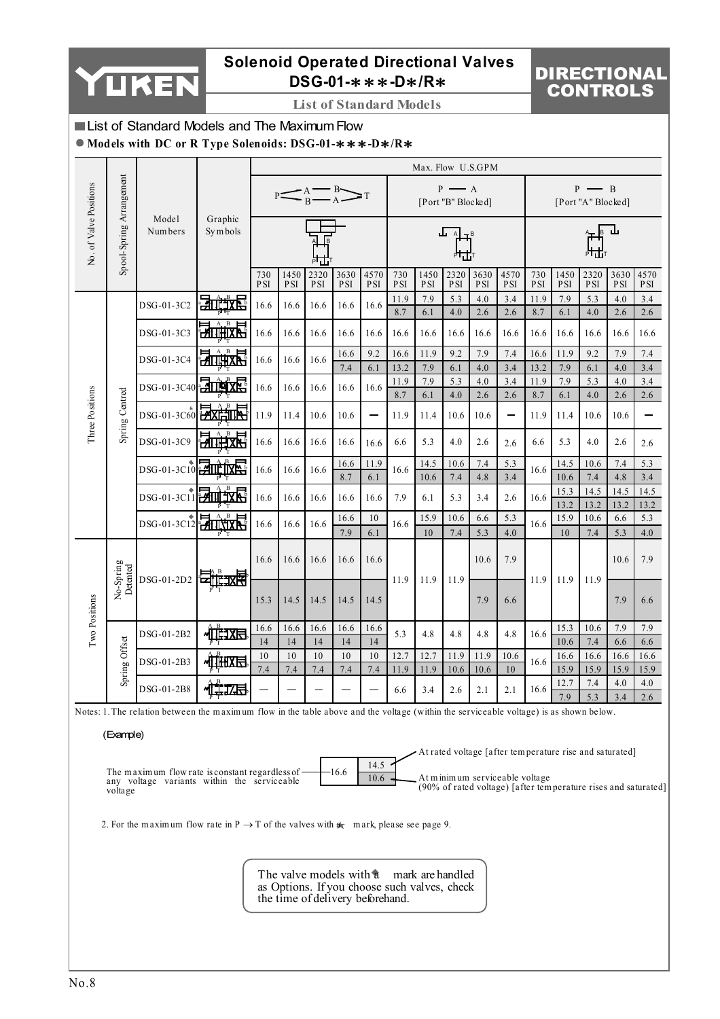

# **Solenoid Operated Directional Valves DSG-01-**∗∗∗**-D**∗**/R**∗

# DIRECTIONAL CONTROLS

**List of Standard Models**

### List of Standard Models and The Maximum Flow

**Models with DC or R Type Solenoids: DSG-01-**∗∗∗**-D**∗**/R**∗

|                        |                          |                                                                                                                                        |                           |                   |                    |                    |                                                                                                                     |                    |                   | Max. Flow U.S.GPM  |                                             |                                |                    |                   |                                                         |                                             |                    |                                                                |
|------------------------|--------------------------|----------------------------------------------------------------------------------------------------------------------------------------|---------------------------|-------------------|--------------------|--------------------|---------------------------------------------------------------------------------------------------------------------|--------------------|-------------------|--------------------|---------------------------------------------|--------------------------------|--------------------|-------------------|---------------------------------------------------------|---------------------------------------------|--------------------|----------------------------------------------------------------|
|                        |                          |                                                                                                                                        |                           |                   |                    |                    | $\mathbb{P}\left(\left.\begin{array}{c}\mathbf{A} & \mathbf{B} \\ \mathbf{B} & \mathbf{A}\end{array}\right \right)$ |                    |                   |                    | $P \longrightarrow A$<br>[Port "B" Blocked] |                                |                    |                   |                                                         | $P \longrightarrow B$<br>[Port "A" Blocked] |                    |                                                                |
| No. of Valve Positions | Spool-Spring Arrangement | Model<br>Num bers                                                                                                                      | Graphic<br>Symbols        |                   |                    |                    |                                                                                                                     |                    |                   |                    |                                             |                                |                    |                   |                                                         |                                             |                    |                                                                |
|                        |                          |                                                                                                                                        |                           | 730<br><b>PSI</b> | 1450<br><b>PSI</b> | 2320<br>$\rm{PSI}$ | 3630<br><b>PSI</b>                                                                                                  | 4570<br><b>PSI</b> | 730<br><b>PSI</b> | 1450<br><b>PSI</b> | 2320<br><b>PSI</b>                          | 3630<br><b>PSI</b>             | 4570<br><b>PSI</b> | 730<br><b>PSI</b> | 1450<br><b>PSI</b>                                      | 2320<br>PSI                                 | 3630<br><b>PSI</b> | 4570<br><b>PSI</b>                                             |
|                        |                          | DSG-01-3C2                                                                                                                             | 动产软骨                      | 16.6              | 16.6               | 16.6               | 16.6                                                                                                                | 16.6               | 11.9<br>8.7       | 7.9<br>6.1         | 5.3<br>4.0                                  | 4.0<br>2.6                     | 3.4<br>2.6         | 11.9<br>8.7       | 7.9<br>6.1                                              | 5.3<br>4.0                                  | 4.0<br>2.6         | 3.4<br>2.6                                                     |
|                        |                          | DSG-01-3C3                                                                                                                             | <u> Hiihixri</u>          | 16.6              | 16.6               | 16.6               | 16.6                                                                                                                | 16.6               | 16.6              | 16.6               | 16.6                                        | 16.6                           | 16.6               | 16.6              | 16.6                                                    | 16.6                                        | 16.6               | 16.6                                                           |
|                        |                          | DSG-01-3C4                                                                                                                             | $\mathbf{B}$<br>2000年5月   | 16.6              | 16.6               | 16.6               | 16.6                                                                                                                | 9.2                | 16.6              | 11.9               | 9.2                                         | 7.9                            | 7.4                | 16.6              | 11.9                                                    | 9.2                                         | 7.9                | 7.4                                                            |
|                        |                          | DSG-01-3C40                                                                                                                            | 动画戏                       | 16.6              | 16.6               | 16.6               | 7.4<br>16.6                                                                                                         | 6.1<br>16.6        | 13.2<br>11.9      | 7.9<br>7.9         | 6.1<br>5.3                                  | 4.0<br>4.0                     | 3.4<br>3.4         | 13.2<br>11.9      | 7.9<br>7.9                                              | 6.1<br>5.3                                  | 4.0<br>4.0         | 3.4<br>3.4                                                     |
| Three Positions        | Spring Centred           |                                                                                                                                        |                           |                   |                    |                    |                                                                                                                     |                    | 8.7               | 6.1                | 4.0                                         | 2.6                            | 2.6                | 8.7               | 6.1                                                     | 4.0                                         | 2.6                | 2.6                                                            |
|                        |                          | DSG-01-3C60                                                                                                                            | <b>HAXIMIN</b>            | 11.9              | 11.4               | 10.6               | 10.6                                                                                                                |                    | 11.9              | 11.4               | 10.6                                        | 10.6                           |                    | 11.9              | 11.4                                                    | 10.6                                        | 10.6               |                                                                |
|                        |                          | DSG-01-3C9                                                                                                                             | <b>HITHEXK</b>            | 16.6              | 16.6               | 16.6               | 16.6                                                                                                                | 16.6               | 6.6               | 5.3                | 4.0                                         | 2.6                            | 2.6                | 6.6               | 5.3                                                     | 4.0                                         | 2.6                | 2.6                                                            |
|                        |                          | DSG-01-3C10 2111 1XE                                                                                                                   |                           | 16.6              | 16.6               | 16.6               | 16.6<br>8.7                                                                                                         | 11.9<br>6.1        | 16.6              | 14.5<br>10.6       | 10.6<br>7.4                                 | 7.4<br>4.8                     | 5.3<br>3.4         | 16.6              | 14.5<br>10.6                                            | 10.6<br>7.4                                 | 7.4<br>4.8         | 5.3<br>3.4                                                     |
|                        |                          | DSG-01-3C11 211 1X                                                                                                                     |                           | 16.6              | 16.6               | 16.6               | 16.6                                                                                                                | 16.6               | 7.9               | 6.1                | 5.3                                         | 3.4                            | 2.6                | 16.6              | 15.3                                                    | 14.5                                        | 14.5               | 14.5                                                           |
|                        |                          |                                                                                                                                        | 动选点                       |                   |                    |                    | 16.6                                                                                                                | 10                 | 16.6              | 15.9               | 10.6                                        | 6.6                            | 5.3                | 16.6              | 13.2<br>15.9                                            | 13.2<br>10.6                                | 13.2<br>6.6        | 13.2<br>5.3                                                    |
|                        |                          | DSG-01-3C12                                                                                                                            |                           | 16.6              | 16.6               | 16.6               | 7.9                                                                                                                 | 6.1                |                   | 10                 | 7.4                                         | 5.3                            | 4.0                |                   | 10                                                      | 7.4                                         | 5.3                | 4.0                                                            |
|                        |                          |                                                                                                                                        | <b>ET 11: 11: 12: 13:</b> | 16.6              | 16.6               | 16.6               | 16.6                                                                                                                | 16.6               |                   |                    |                                             | 10.6                           | 7.9                |                   |                                                         |                                             | 10.6               | 7.9                                                            |
|                        | No-Spring<br>Detented    | DSG-01-2D2                                                                                                                             |                           | 15.3              | 14.5               | 14.5               | 14.5                                                                                                                | 14.5               | 11.9              | 11.9               | 11.9                                        | 7.9                            | 6.6                | 11.9              | 11.9                                                    | 11.9                                        | 7.9                | 6.6                                                            |
| Two Positions          |                          | DSG-01-2B2                                                                                                                             | 心理工作                      | 16.6              | 16.6               | 16.6               | 16.6                                                                                                                | 16.6               | 5.3               | 4.8                | 4.8                                         | 4.8                            | 4.8                | 16.6              | 15.3                                                    | 10.6                                        | 7.9                | 7.9                                                            |
|                        | Spring Offset            |                                                                                                                                        |                           | 14<br>10          | 14<br>10           | 14<br>10           | 14<br>10                                                                                                            | 14<br>10           | 12.7              | 12.7               | 11.9                                        | 11.9                           | 10.6               |                   | 10.6<br>16.6                                            | 7.4<br>16.6                                 | 6.6<br>16.6        | 6.6<br>16.6                                                    |
|                        |                          | DSG-01-2B3                                                                                                                             | 心理医                       | 7.4               | 7.4                | 7.4                | 7.4                                                                                                                 | 7.4                | 11.9              | 11.9               | 10.6                                        | 10.6                           | 10                 | 16.6              | 15.9                                                    | 15.9                                        | 15.9               | 15.9                                                           |
|                        |                          | DSG-01-2B8                                                                                                                             | 惟如<br>PΤ                  |                   |                    |                    |                                                                                                                     |                    | 6.6               | 3.4                | 2.6                                         | 2.1                            | 2.1                | 16.6              | 12.7<br>7.9                                             | 7.4<br>5.3                                  | 4.0<br>3.4         | 4.0<br>2.6                                                     |
|                        |                          | Notes: 1. The relation between the maximum flow in the table above and the voltage (within the serviceable voltage) is as shown below. |                           |                   |                    |                    |                                                                                                                     |                    |                   |                    |                                             |                                |                    |                   |                                                         |                                             |                    |                                                                |
|                        | (Example)                |                                                                                                                                        |                           |                   |                    |                    |                                                                                                                     |                    |                   |                    |                                             |                                |                    |                   |                                                         |                                             |                    |                                                                |
|                        |                          |                                                                                                                                        |                           |                   |                    |                    |                                                                                                                     |                    |                   |                    |                                             |                                |                    |                   | At rated voltage [after temperature rise and saturated] |                                             |                    |                                                                |
|                        | voltage                  | The maximum flow rate is constant regardless of<br>any voltage variants within the serviceable                                         |                           |                   |                    |                    | -16.6                                                                                                               | 14.5<br>10.6       |                   |                    |                                             | At minimum serviceable voltage |                    |                   |                                                         |                                             |                    | (90% of rated voltage) [after temperature rises and saturated] |
|                        |                          | 2. For the maximum flow rate in $P \rightarrow T$ of the valves with $a_k$ mark, please see page 9.                                    |                           |                   |                    |                    |                                                                                                                     |                    |                   |                    |                                             |                                |                    |                   |                                                         |                                             |                    |                                                                |
|                        |                          |                                                                                                                                        |                           |                   |                    |                    |                                                                                                                     |                    |                   |                    |                                             |                                |                    |                   |                                                         |                                             |                    |                                                                |
|                        |                          |                                                                                                                                        |                           |                   |                    |                    | The valve models with a mark are handled<br>as Options. If you choose such valves, check                            |                    |                   |                    |                                             |                                |                    |                   |                                                         |                                             |                    |                                                                |

the time of delivery beforehand.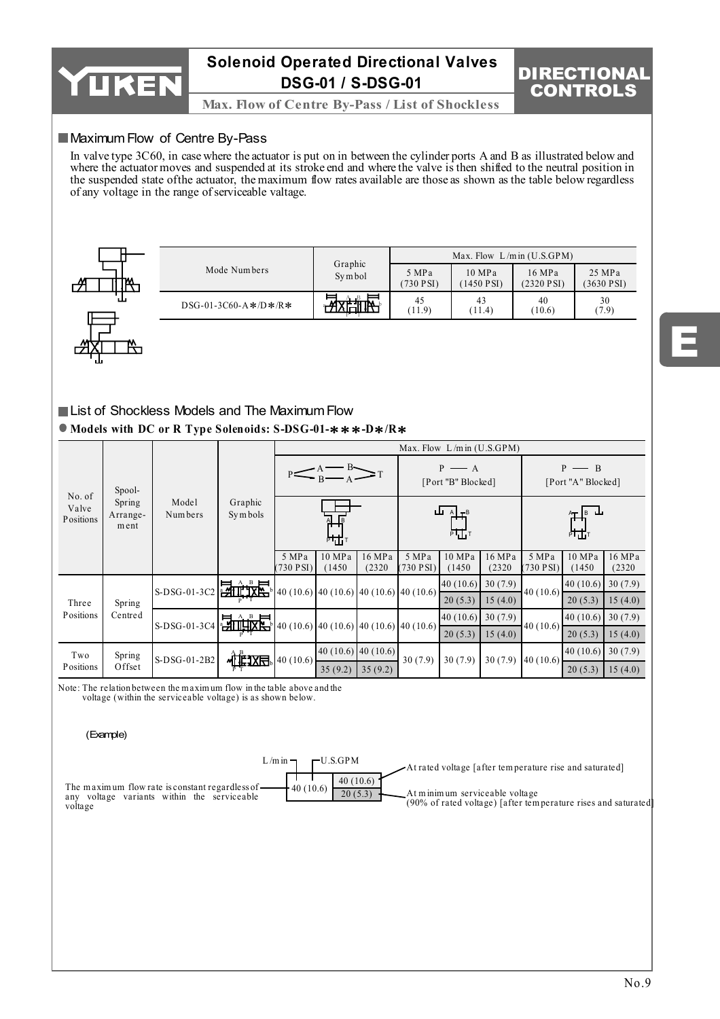

**Max. Flow of Centre By-Pass / List of Shockless** 

### **Maximum Flow of Centre By-Pass**

In valve type 3C60, in case where the actuator is put on in between the cylinder ports A and B as illustrated below and where the actuator moves and suspended at its stroke end and where the valve is then shifted to the neutral position in the suspended state of the actuator, the maximum flow rates available are those as shown as the table below regardless of any voltage in the range of serviceable valtage.

| # | Ł                 |
|---|-------------------|
| ↩ | $\mathbf{H}$<br>ц |

|                       |                   |                   | Max. Flow $L/m$ in $(U.S.GPM)$ |                      |                      |
|-----------------------|-------------------|-------------------|--------------------------------|----------------------|----------------------|
| Mode Numbers          | Graphic<br>Symbol | 5 MPa<br>730 PSI) | 10 MPa<br>$(1450 \text{ PSI})$ | 16 MPa<br>(2320 PSI) | 25 MPa<br>(3630 PSI) |
| $DSG-01-3C60-A*/D*R*$ |                   | 45<br>(11.9)      | 43<br>(11.4)                   | 40<br>(10.6)         | 30<br>(7.9)          |

### **Models with DC or R Type Solenoids: S-DSG-01-**∗∗∗**-D**∗**/R**∗ List of Shockless Models and The Maximum Flow

|                              |                            |                                      |                                                                                                                                  |                                             |                  |                                                                    |                                          | Max. Flow $L/m$ in $(U.S.GPM)$ |                  |                    |                                     |                  |
|------------------------------|----------------------------|--------------------------------------|----------------------------------------------------------------------------------------------------------------------------------|---------------------------------------------|------------------|--------------------------------------------------------------------|------------------------------------------|--------------------------------|------------------|--------------------|-------------------------------------|------------------|
|                              | Spool-                     |                                      |                                                                                                                                  | $P \longrightarrow A$<br>[Port "B" Blocked] |                  |                                                                    | — B<br>[Port "A" Blocked]                |                                |                  |                    |                                     |                  |
| No. of<br>Valve<br>Positions | Spring<br>Arrange-<br>ment | Model<br>Num bers                    | Graphic<br>Symbols                                                                                                               |                                             | ᅢᅶ               |                                                                    |                                          | ш.<br>$A \rightarrow B$<br>咕   |                  |                    | $A$ <sub>T</sub> $B$ <b>L</b><br>ᄮᅶ |                  |
|                              |                            |                                      |                                                                                                                                  | 5 MPa<br>730 PSI)                           | 10 MPa<br>(1450) | 16 MPa<br>(2320)                                                   | 5 MPa<br>$(730$ PSI)                     | 10 MPa<br>(1450)               | 16 MPa<br>(2320) | 5 MPa<br>(730 PSI) | 10 MPa<br>(1450)                    | 16 MPa<br>(2320) |
|                              |                            | $\left  \text{S-DSG-01-3C2} \right $ |                                                                                                                                  |                                             |                  |                                                                    | $40(10.6)$ 40 (10.6) 40 (10.6) 40 (10.6) | $40(10.6)$ 30 (7.9)            |                  | 40 $(10.6)$        | 40(10.6)                            | 30(7.9)          |
| Three                        | Spring                     |                                      |                                                                                                                                  |                                             |                  |                                                                    |                                          | 20(5.3)                        | 15(4.0)          |                    | 20(5.3)                             | 15(4.0)          |
| Positions                    | Centred                    |                                      | S-DSG-01-3C4 $\frac{1}{\sqrt{2}} \left( \frac{1}{\sqrt{2}} + \frac{1}{\sqrt{2}} \right)$ 40 (10.6) 40 (10.6) 40 (10.6) 40 (10.6) |                                             |                  |                                                                    |                                          | $40(10.6)$ 30 (7.9)            |                  |                    | 40(10.6)                            | 30(7.9)          |
|                              |                            |                                      |                                                                                                                                  |                                             |                  |                                                                    |                                          | 20(5.3)                        | 15(4.0)          | 40(10.6)           | 20(5.3)                             | 15(4.0)          |
| Two                          | Spring                     | $S-DSG-01-2B2$                       |                                                                                                                                  | 40(10.6)                                    |                  | $\left[40\right]\left(10.6\right)\left[40\right]\left(10.6\right)$ | 30(7.9)                                  | 30(7.9)                        | 30(7.9)          | 40(10.6)           | 40(10.6)                            | 30(7.9)          |
| Positions                    | Offset                     |                                      | <u>ا</u> ا⊞∏∑                                                                                                                    |                                             | 35(9.2)          | 35(9.2)                                                            |                                          |                                |                  |                    | 20(5.3)                             | 15(4.0)          |

Note: The relation between the m axim um flow in the table above and the

voltage (within the serviceable voltage) is as shown below.

#### (Example)

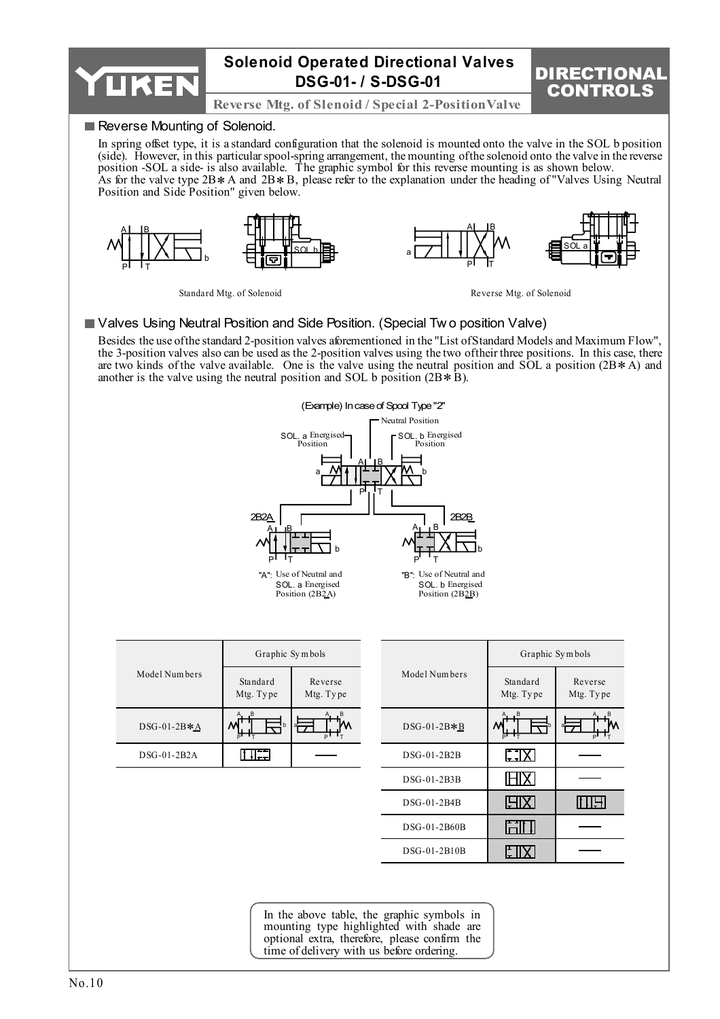

In the above table, the graphic symbols in mounting type highlighted with shade are optional extra, therefore, please confirm the time of delivery with us before ordering.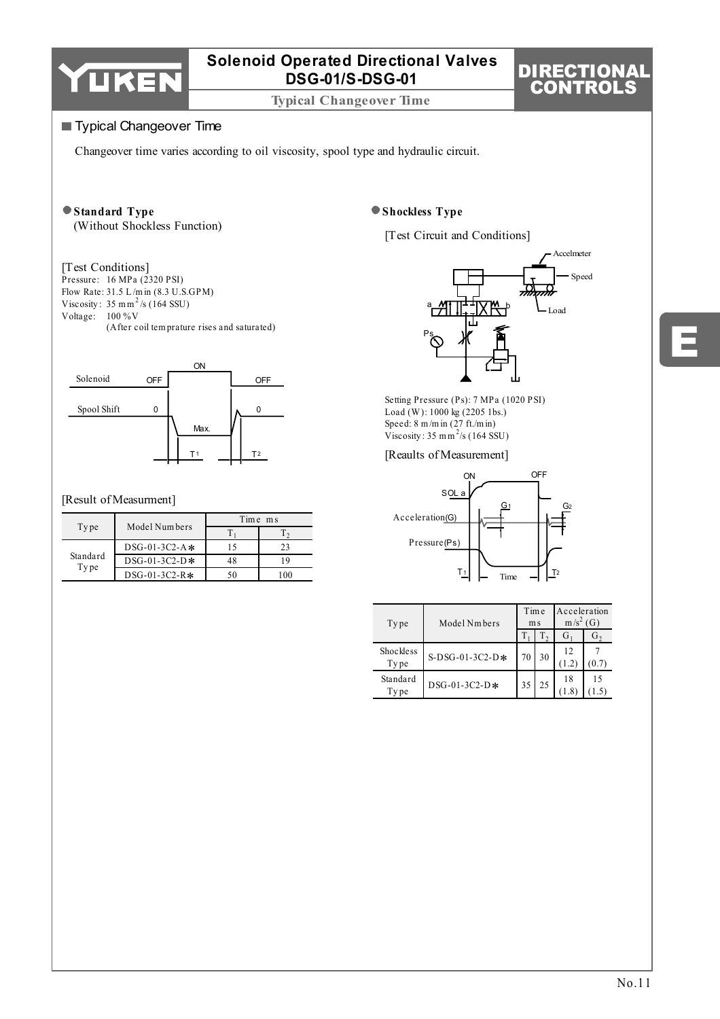

**Typical Changeover Time**

# DIRECTIONAL CONTROLS

### **Typical Changeover Time**

Changeover time varies according to oil viscosity, spool type and hydraulic circuit.

#### **Standard Type** (Without Shockless Function)

### [Test Conditions]

Pressure: 16 MPa (2320 PSI) Flow Rate:  $31.5 \text{ L/min}$  (8.3 U.S.GPM)<br>Viscosity:  $35 \text{ mm}^2/\text{s}$  (164 SSU) Voltage: 100 % V (After coil tem prature rises and saturated) Flow Rate:  $31.5 L/m$  in  $(8.3 U.S.GPM)$ 



### [Result of Measurment]

|                  | Model Numbers   | Time ms |    |  |  |  |
|------------------|-----------------|---------|----|--|--|--|
| Type             |                 |         |    |  |  |  |
|                  | $DSG-01-3C2-A*$ |         | 23 |  |  |  |
| Standard<br>Type | $DSG-01-3C2-D*$ | 48      |    |  |  |  |
|                  | $DSG-01-3C2-R*$ |         |    |  |  |  |

### **Shockless Type**

[Test Circuit and Conditions]



Setting Pressure (Ps): 7 MPa (1020 PSI) Load (W ): 1000 kg (2205 1bs.) Speed: 8 m/m in (27 ft./m in)<br>Viscosity : 35 m m<sup>2</sup>/s (164 SSU)

#### [Reaults of Measurement]



| Type              | Model Nmbers    | Time | m <sub>s</sub> | Acceleration<br>$m/s2$ (G) |    |  |
|-------------------|-----------------|------|----------------|----------------------------|----|--|
|                   |                 |      | $\Omega$       | G.                         | G, |  |
| Shockless<br>Type | S-DSG-01-3C2-D* |      | 30             | 12<br>(1.2)                |    |  |
| Standard<br>Type  | DSG-01-3C2-D*   | 35   | 25             | 18                         | 15 |  |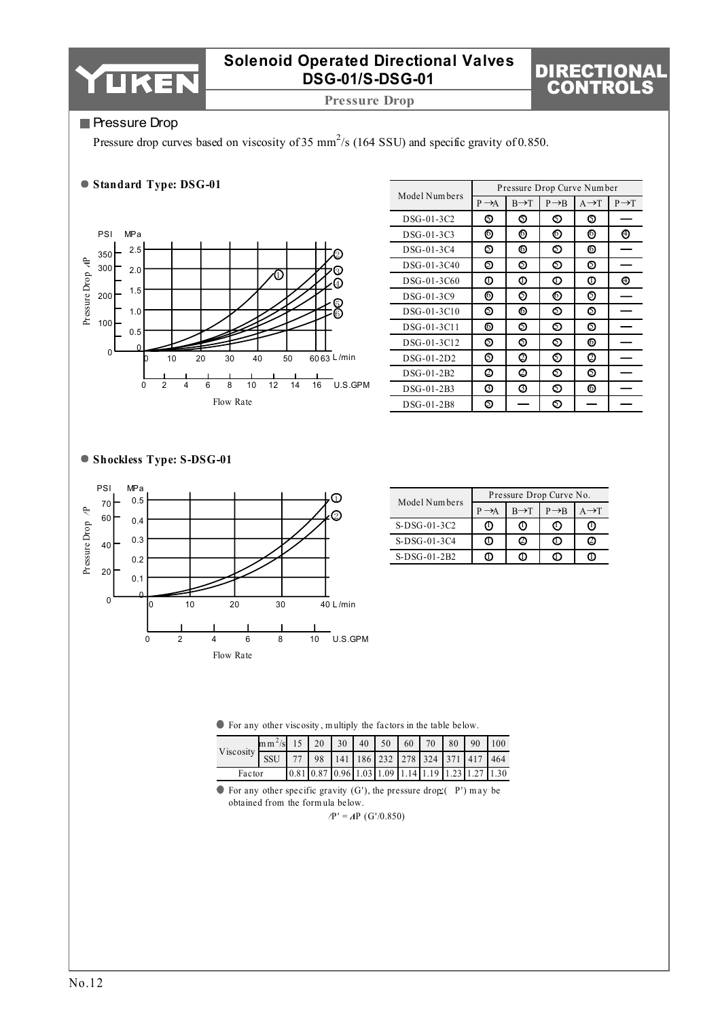

**Pressure Drop**

# DIRECTIONAL CONTROLS

### **Pressure Drop**

Pressure drop curves based on viscosity of 35 mm<sup>2</sup>/s (164 SSU) and specific gravity of 0.850.

### **Standard Type: DSG-01**



|               |                   |                   | Pressure Drop Curve Number |                   |                   |
|---------------|-------------------|-------------------|----------------------------|-------------------|-------------------|
| Model Numbers | $P \rightarrow A$ | $B \rightarrow T$ | $P \rightarrow B$          | $A \rightarrow T$ | $P \rightarrow T$ |
| DSG-01-3C2    | ⊙                 | ๑                 | စ                          | ⊚                 |                   |
| DSG-01-3C3    | ⊚                 | ⊚                 | ⊚                          | ⊚                 | ⊕                 |
| DSG-01-3C4    | ல                 | ⊚                 | ல                          | 6                 |                   |
| DSG-01-3C40   | ⊚                 | ல                 | စ                          | ⊚                 |                   |
| DSG-01-3C60   | o                 | Φ                 | O                          | Φ                 | ⊕                 |
| DSG-01-3C9    | ⊚                 | の                 | ⊚                          | ⊚                 |                   |
| DSG-01-3C10   | ல                 | 6                 | စ                          | ⊚                 |                   |
| DSG-01-3C11   | ⊚                 | ல                 | စ                          | ⊚                 |                   |
| DSG-01-3C12   | ⊚                 | စ                 | စ                          | ⊚                 |                   |
| $DSG-01-2D2$  | ⊚                 | Ø                 | 6)                         | Ø                 |                   |
| DSG-01-2B2    | Ø                 | Ø                 | ல                          | ⊚                 |                   |
| DSG-01-2B3    | ❻                 | 将                 | ை                          | ⊚                 |                   |
| DSG-01-2B8    | ⊚                 |                   | の                          |                   |                   |

### **Shockless Type: S-DSG-01**



|                | Pressure Drop Curve No. |                   |                   |                   |  |  |  |  |  |
|----------------|-------------------------|-------------------|-------------------|-------------------|--|--|--|--|--|
| Model Numbers  |                         | $B \rightarrow T$ | $P \rightarrow B$ | $A \rightarrow T$ |  |  |  |  |  |
| S-DSG-01-3C2   | O                       | O)                | U)                | (!)               |  |  |  |  |  |
| S-DSG-01-3C4   | ω                       | Ø                 | O                 | Ø                 |  |  |  |  |  |
| $S-DSG-01-2B2$ |                         |                   |                   |                   |  |  |  |  |  |

For any other viscosity , m ultiply the factors in the table below.

| Viscosity SSU 77 98 141 186 232 278 324 371 417 464 | $\text{Im}\,\text{m}^2/\text{s}$ 15   20   30   40   50   60   70   80   90   100 |  |  |  |                                                                                                             |  |  |
|-----------------------------------------------------|-----------------------------------------------------------------------------------|--|--|--|-------------------------------------------------------------------------------------------------------------|--|--|
|                                                     |                                                                                   |  |  |  |                                                                                                             |  |  |
| Factor                                              |                                                                                   |  |  |  | $\left[0.81\right]0.87\left[0.96\right]1.03\left[1.09\right]1.14\left[1.19\right]1.23\left[1.27\right]1.30$ |  |  |

 $\bullet$  For any other specific gravity (G'), the pressure drop (P') may be obtained from the form ula below.

 $\Delta P' = \Delta P$  (G'/0.850)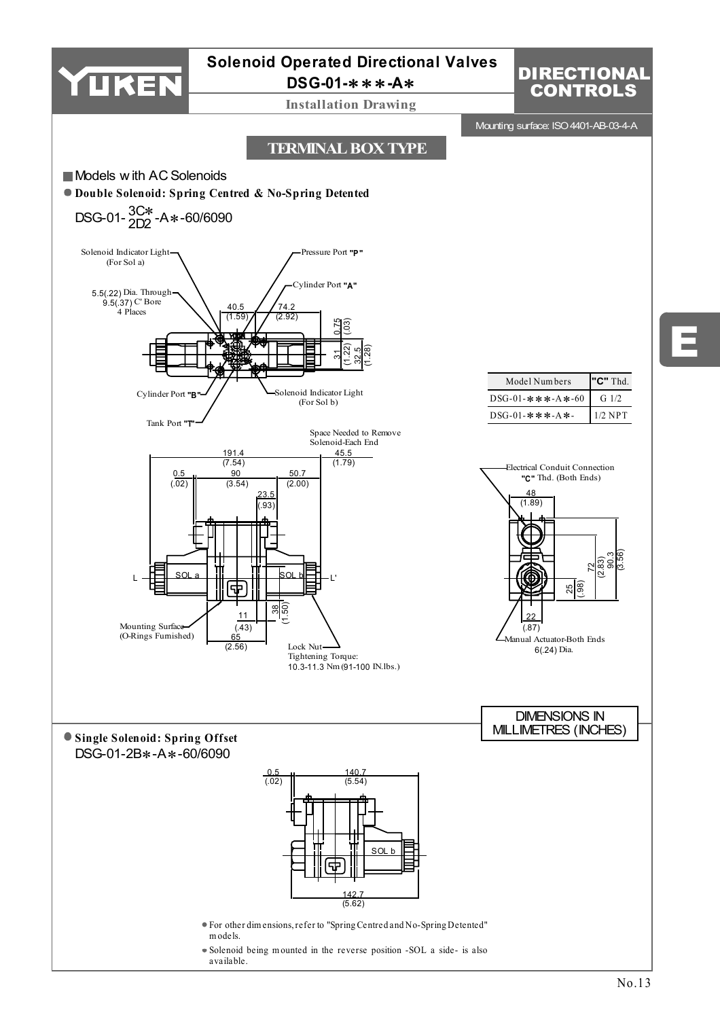

# **Solenoid Operated Directional Valves**

**DSG-01-**∗∗∗**-A**∗

**Installation Drawing**

# **DIRECTIONAL** CONTROLS

E

Mounting surface: ISO 4401-AB-03-4-A

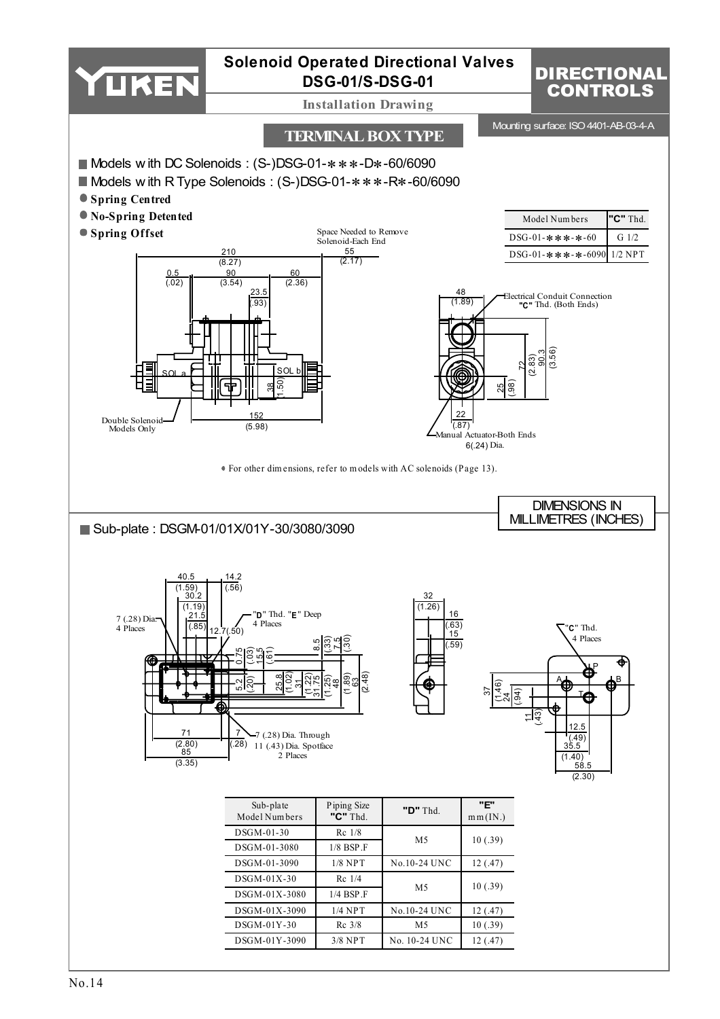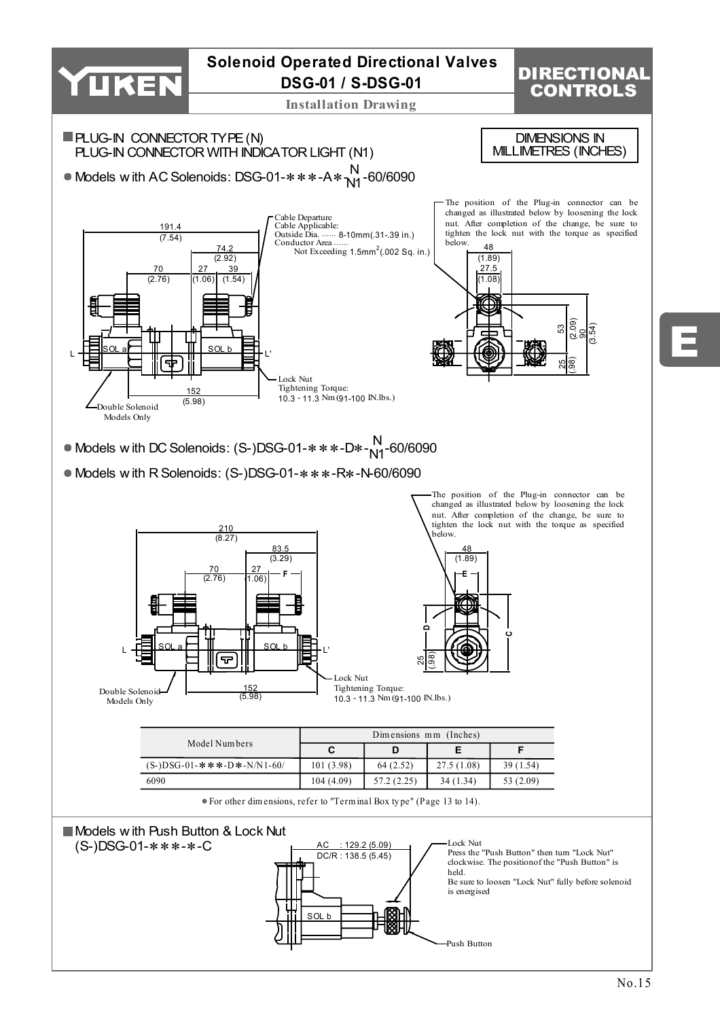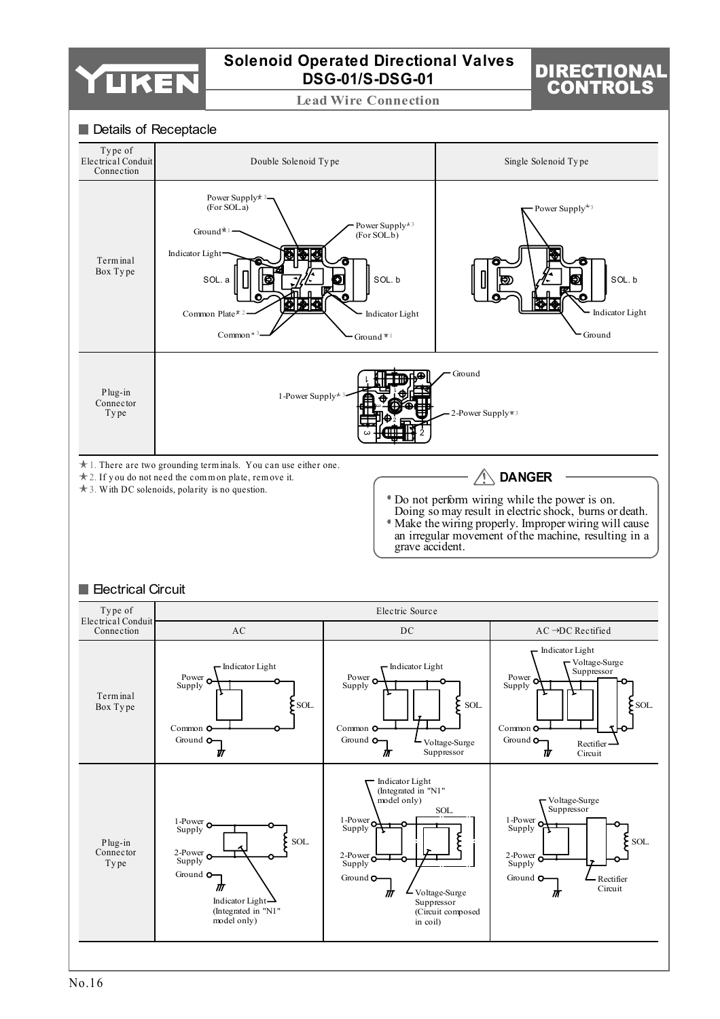

**Lead Wire Connection**

# DIRECTIONAL CONTROLS

#### Details of Receptacle

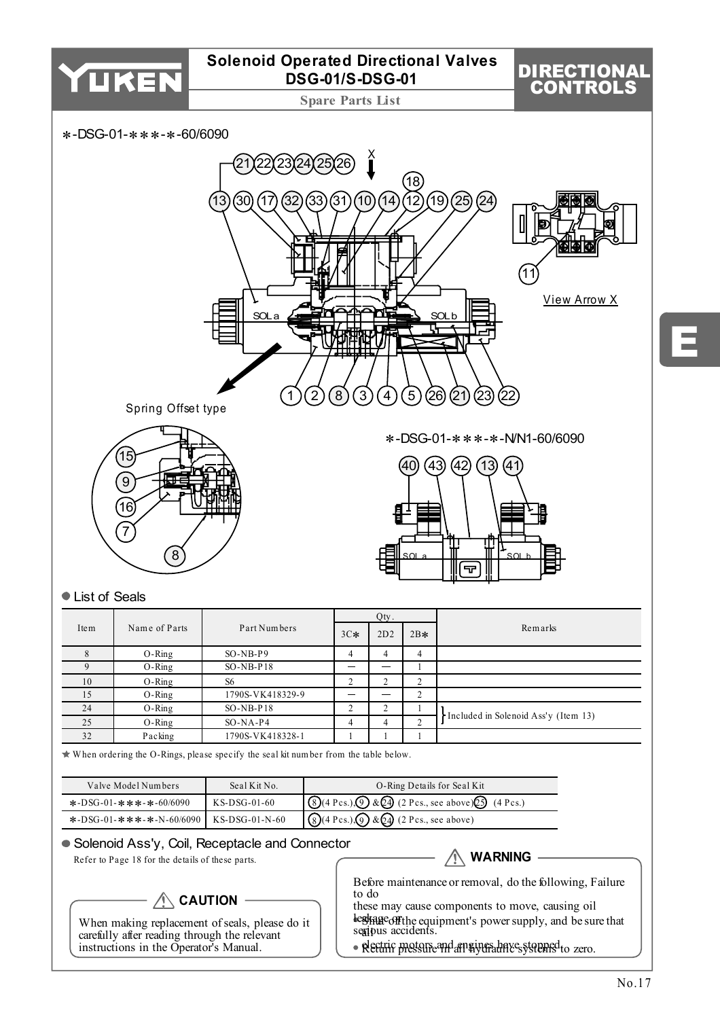

**Spare Parts List**

# DIRECTIONAL CONTROLS

∗-DSG-01-∗∗∗-∗-60/6090



### ● List of Seals

|      |               |                  |       | Qty. |        |                                      |  |  |
|------|---------------|------------------|-------|------|--------|--------------------------------------|--|--|
| Item | Name of Parts | Part Numbers     | $3C*$ | 2D2  | $2B*$  | Remarks                              |  |  |
|      | $O-Ring$      | $SO-NB-P9$       |       | 4    | 4      |                                      |  |  |
|      | $O-Ring$      | $SO-NB-P18$      |       |      |        |                                      |  |  |
| 10   | $O-Ring$      | S <sub>6</sub>   |       | ◠    | $\sim$ |                                      |  |  |
| 15   | $O-Ring$      | 1790S-VK418329-9 |       |      | $\sim$ |                                      |  |  |
| 24   | $O-Ring$      | $SO-NB-P18$      |       |      |        | Included in Solenoid Ass'y (Item 13) |  |  |
| 25   | $O-Ring$      | $SO-NA-P4$       | 4     | 4    | $\sim$ |                                      |  |  |
| 32   | Packing       | 1790S-VK418328-1 |       |      |        |                                      |  |  |

 $\star$  When ordering the O-Rings, please specify the seal kit number from the table below.

| Valve Model Numbers                       | Seal Kit No.   | O-Ring Details for Seal Kit                                                                                           |
|-------------------------------------------|----------------|-----------------------------------------------------------------------------------------------------------------------|
| *-DSG-01-***-*-60/6090                    | $KS-DSG-01-60$ | $\bigotimes (4 \text{ Pcs.}) \bigotimes \& \bigotimes (2 \text{ Pcs.}, \text{see above}) \bigotimes (4 \text{ Pcs.})$ |
| *-DSG-01-***-*-N-60/6090   KS-DSG-01-N-60 |                | $\big  \bigotimes (4 \text{ Pcs.}) \bigotimes \& \bigotimes (2 \text{ Pcs.}, \text{see above}) \big $                 |

### Solenoid Ass'y, Coil, Receptacle and Connector

Refer to Page 18 for the details of these parts.

# **CAUTION**

When making replacement of seals, please do it carefully after reading through the relevant instructions in the Operator's Manual.

### **WARNING**

Before maintenance or removal, do the following, Failure to do

these may cause components to move, causing oil leakage off seripus accidents. **Stage off the equipment's power supply, and be sure that** all

· Return pressure and engines have systems to zero.

E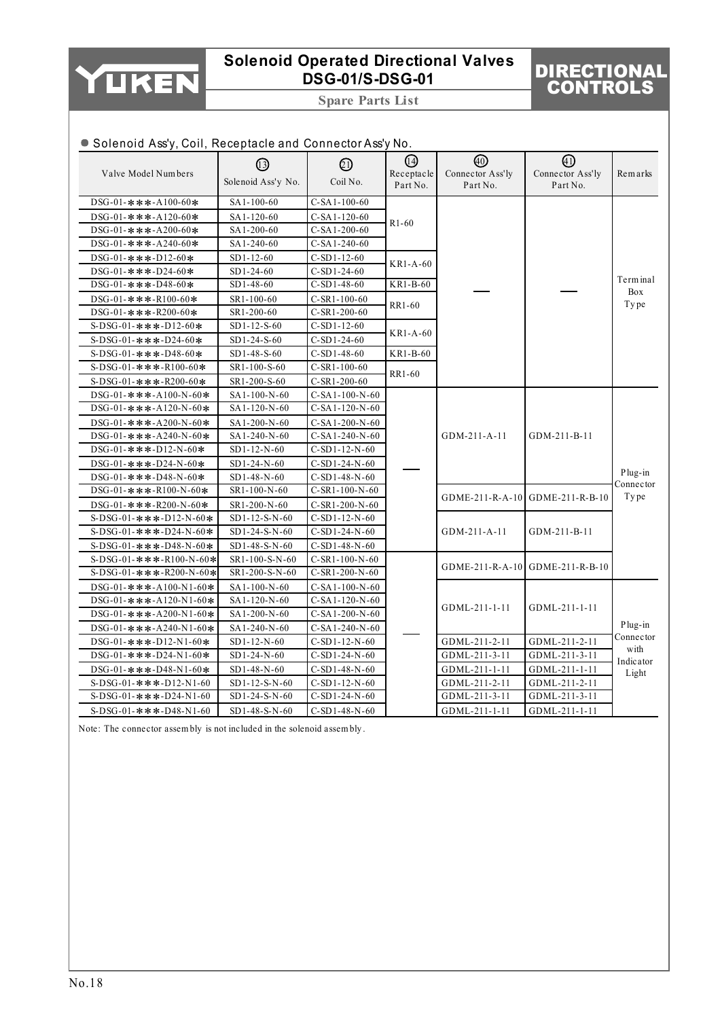

**Spare Parts List**

# DIRECTIONAL CONTROLS

Plug-in Connector with Indicator Light

GDME-211-R-B-10

GDML-211-1-11

GDML-211-2-11 GDML-211-3-11 GDML-211-1-11 GDML-211-2-11 GDML-211-3-11 GDML-211-1-11

#### Valve Model Num bers DSG-01-∗∗∗-A100-60∗ DSG-01-∗∗∗-A120-60∗ DSG-01-∗∗∗-A200-60∗ DSG-01-∗∗∗-A240-60∗ DSG-01-∗∗∗-D12-60∗ DSG-01-∗∗∗-D24-60∗ DSG-01-∗∗∗-D48-60∗ DSG-01-∗∗∗-R100-60∗ DSG-01-∗∗∗-R200-60∗ S-DSG-01-∗∗∗-D12-60∗ S-DSG-01-∗∗∗-D24-60∗ S-DSG-01-∗∗∗-D48-60∗ S-DSG-01-∗∗∗-R100-60∗ S-DSG-01-∗∗∗-R200-60∗ DSG-01-∗∗∗-A100-N-60∗ DSG-01-∗∗∗-A120-N-60∗ DSG-01-∗∗∗-A200-N-60∗ DSG-01-∗∗∗-A240-N-60∗ DSG-01-∗∗∗-D12-N-60∗ DSG-01-∗∗∗-D24-N-60∗ DSG-01-∗∗∗-D48-N-60∗ DSG-01-∗∗∗-R100-N-60∗ DSG-01-∗∗∗-R200-N-60∗ S-DSG-01-∗∗∗-D12-N-60∗ S-DSG-01-∗∗∗-D24-N-60∗ S-DSG-01-∗∗∗-D48-N-60∗  $\circled{1}$ Solenoid Ass'y No.  $\circledR$ Coil No.  $(14)$ Receptacle Part No. 40 Connector Ass'ly Part No.  $\textcircled{\scriptsize{4}}$ Connector Ass'ly Part No. Rem arks SA1-100-60 SA1-120-60 SA1-200-60 SA1-240-60 SD1-12-60 SD1-24-60 SD1-48-60 SR1-100-60 SR1-200-60 SD1-12-S-60 SD1-24-S-60 SD1-48-S-60 SR1-100-S-60 SR1-200-S-60 SA1-100-N-60 SA1-120-N-60 SA1-200-N-60 SA1-240-N-60 SD1-12-N-60 SD1-24-N-60 SD1-48-N-60 SR1-100-N-60 SR1-200-N-60 SD1-12-S-N-60 SD1-24-S-N-60 SD1-48-S-N-60 C-SA1-100-60 C-SA1-120-60 C-SA1-200-60 C-SA1-240-60 C-SD1-12-60 C-SD1-24-60 C-SD1-48-60 C-SR1-100-60 C-SR1-200-60 C-SD1-12-60 C-SD1-24-60  $C-SD1-48-60$ C-SR1-100-60 C-SR1-200-60 C-SA1-100-N-60 C-SA1-120-N-60 C-SA1-200-N-60 C-SA1-240-N-60 C-SD1-12-N-60 C-SD1-24-N-60 C-SD1-48-N-60 C-SR1-100-N-60 C-SR1-200-N-60 C-SD1-12-N-60 C-SD1-24-N-60 C-SD1-48-N-60 **P1-60** KR1-A-60  $\overline{KRL}$ -60 RR1-60 KR1-A-60 KR1-B-60 RR1-60 Term inal Box Ty pe Plug-in Connector **Type** GDM-211-A-11 GDME-211-R-A-10 GDM-211-A-11 GDM-211-B-11 GDME-211-R-B-10 GDM-211-B-11 ● Solenoid Ass'y, Coil, Receptacle and Connector Ass'y No.

C-SR1-100-N-60 C-SR1-200-N-60 C-SA1-100-N-60 C-SA1-120-N-60 C-SA1-200-N-60 C-SA1-240-N-60 C-SD1-12-N-60 C-SD1-24-N-60 C-SD1-48-N-60 C-SD1-12-N-60 C-SD1-24-N-60 C-SD1-48-N-60

GDME-211-R-A-10

GDML-211-1-11

GDML-211-2-11 GDML-211-3-11 GDML-211-1-11 GDML-211-2-11 GDML-211-3-11 GDML-211-1-11

Note: The connector assem bly is not included in the solenoid assem bly .

SR1-100-S-N-60 SR1-200-S-N-60 SA1-100-N-60 SA1-120-N-60 SA1-200-N-60 SA1-240-N-60 SD1-12-N-60 SD1-24-N-60 SD1-48-N-60 SD1-12-S-N-60 SD1-24-S-N-60 SD1-48-S-N-60

S-DSG-01-∗∗∗-R100-N-60∗ S-DSG-01-∗∗∗-R200-N-60∗ DSG-01-∗∗∗-A100-N1-60∗ DSG-01-∗∗∗-A120-N1-60∗ DSG-01-∗∗∗-A200-N1-60∗ DSG-01-∗∗∗-A240-N1-60∗ DSG-01-∗∗∗-D12-N1-60∗ DSG-01-∗∗∗-D24-N1-60∗ DSG-01-∗∗∗-D48-N1-60∗ S-DSG-01-∗∗∗-D12-N1-60 S-DSG-01-∗∗∗-D24-N1-60 S-DSG-01-∗∗∗-D48-N1-60